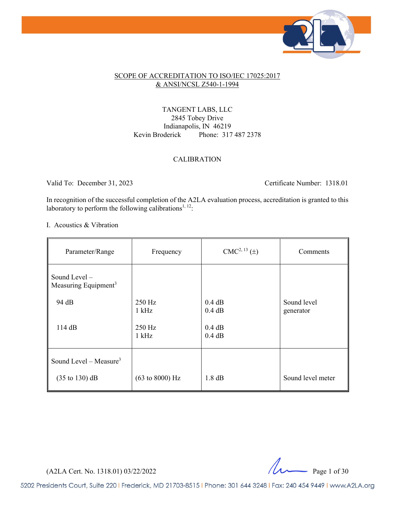

#### SCOPE OF ACCREDITATION TO ISO/IEC 17025:2017 & ANSI/NCSL Z540-1-1994

TANGENT LABS, LLC 2845 Tobey Drive Indianapolis, IN 46219 Kevin Broderick Phone: 317 487 2378

#### CALIBRATION

Valid To: December 31, 2023 Certificate Number: 1318.01

In recognition of the successful completion of the A2LA evaluation process, accreditation is granted to this laboratory to perform the following calibrations<sup>1, 12</sup>:

I. Acoustics & Vibration

| Parameter/Range                                   | Frequency                          | CMC <sup>2, 13</sup> (±) | Comments                 |
|---------------------------------------------------|------------------------------------|--------------------------|--------------------------|
| Sound Level -<br>Measuring Equipment <sup>3</sup> |                                    |                          |                          |
| 94 dB                                             | 250 Hz<br>$1$ kHz                  | 0.4 dB<br>0.4 dB         | Sound level<br>generator |
| 114 dB                                            | 250 Hz<br>$1$ kHz                  | 0.4 dB<br>0.4 dB         |                          |
| Sound Level – Measure <sup>3</sup>                |                                    |                          |                          |
| $(35 \text{ to } 130) \text{ dB}$                 | $(63 \text{ to } 8000) \text{ Hz}$ | 1.8 dB                   | Sound level meter        |

 $(A2LA$  Cert. No. 1318.01) 03/22/2022  $\mu$  Page 1 of 30

5202 Presidents Court, Suite 220 | Frederick, MD 21703-8515 | Phone: 301 644 3248 | Fax: 240 454 9449 | www.A2LA.org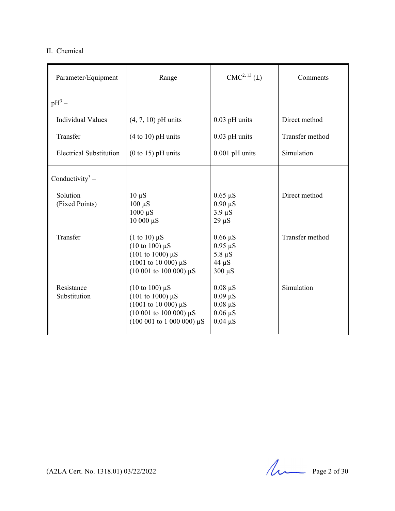#### II. Chemical

| Parameter/Equipment            | Range                                                                                                                                                                    | $CMC2, 13(\pm)$                                                              | Comments        |
|--------------------------------|--------------------------------------------------------------------------------------------------------------------------------------------------------------------------|------------------------------------------------------------------------------|-----------------|
| $pH^3$ –                       |                                                                                                                                                                          |                                                                              |                 |
| <b>Individual Values</b>       | $(4, 7, 10)$ pH units                                                                                                                                                    | $0.03$ pH units                                                              | Direct method   |
| Transfer                       | $(4 to 10)$ pH units                                                                                                                                                     | $0.03$ pH units                                                              | Transfer method |
| <b>Electrical Substitution</b> | $(0 to 15)$ pH units                                                                                                                                                     | $0.001$ pH units                                                             | Simulation      |
| Conductivity <sup>3</sup> –    |                                                                                                                                                                          |                                                                              |                 |
| Solution<br>(Fixed Points)     | $10 \mu S$<br>$100 \mu S$<br>$1000 \mu S$<br>10 000 μS                                                                                                                   | $0.65 \mu S$<br>$0.90 \mu S$<br>$3.9 \mu S$<br>$29 \mu S$                    | Direct method   |
| Transfer                       | $(1 \text{ to } 10) \mu S$<br>$(10 \text{ to } 100) \text{ }\mu\text{S}$<br>$(101 \text{ to } 1000) \mu S$<br>$(1001$ to 10 000) $\mu$ S<br>$(10001$ to 100 000) $\mu$ S | $0.66 \mu S$<br>$0.95 \mu S$<br>$5.8 \mu S$<br>$44 \mu S$<br>$300 \mu S$     | Transfer method |
| Resistance<br>Substitution     | $(10 \text{ to } 100) \mu S$<br>$(101 \text{ to } 1000) \mu S$<br>$(1001$ to 10 000) $\mu$ S<br>$(10001$ to 100 000) $\mu$ S<br>$(100001$ to 1 000 000) $\mu$ S          | $0.08 \mu S$<br>$0.09 \mu S$<br>$0.08 \mu S$<br>$0.06 \mu S$<br>$0.04 \mu S$ | Simulation      |

 $(A2LA$  Cert. No. 1318.01) 03/22/2022 Page 2 of 30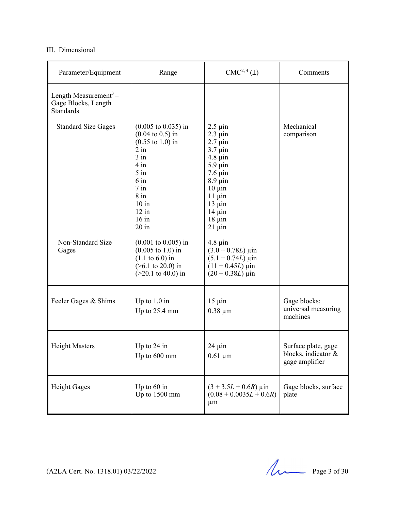#### III. Dimensional

| Parameter/Equipment                                                          | Range                                                                                                                                                                                                                                          | CMC <sup>2, 4</sup> (±)                                                                                                                                                                                                | Comments                                                     |
|------------------------------------------------------------------------------|------------------------------------------------------------------------------------------------------------------------------------------------------------------------------------------------------------------------------------------------|------------------------------------------------------------------------------------------------------------------------------------------------------------------------------------------------------------------------|--------------------------------------------------------------|
| Length Measurement <sup>3</sup> –<br>Gage Blocks, Length<br><b>Standards</b> |                                                                                                                                                                                                                                                |                                                                                                                                                                                                                        |                                                              |
| <b>Standard Size Gages</b>                                                   | $(0.005 \text{ to } 0.035) \text{ in}$<br>$(0.04 \text{ to } 0.5) \text{ in}$<br>$(0.55 \text{ to } 1.0) \text{ in}$<br>$2$ in<br>$3$ in<br>$4$ in<br>$5$ in<br>$6 \text{ in}$<br>$7$ in<br>$8$ in<br>$10$ in<br>$12$ in<br>$16$ in<br>$20$ in | $2.5 \mu$ in<br>$2.3 \mu$ in<br>$2.7 \mu$ in<br>$3.7 \mu$ in<br>$4.8 \mu$ in<br>$5.9 \mu$ in<br>$7.6 \mu$ in<br>$8.9 \mu$ in<br>$10 \mu$ in<br>$11 \mu$ in<br>$13 \mu$ in<br>$14 \mu$ in<br>$18 \mu$ in<br>$21 \mu$ in | Mechanical<br>comparison                                     |
| Non-Standard Size<br>Gages                                                   | $(0.001 \text{ to } 0.005) \text{ in}$<br>$(0.005 \text{ to } 1.0) \text{ in}$<br>$(1.1 \text{ to } 6.0) \text{ in}$<br>$($ >6.1 to 20.0) in<br>$(>20.1$ to 40.0) in                                                                           | $4.8 \mu$ in<br>$(3.0 + 0.78L) \,\mu \text{in}$<br>$(5.1 + 0.74L) \,\mu \text{in}$<br>$(11 + 0.45L) \,\mu \text{in}$<br>$(20 + 0.38L) \,\mu \text{in}$                                                                 |                                                              |
| Feeler Gages & Shims                                                         | Up to $1.0$ in<br>Up to 25.4 mm                                                                                                                                                                                                                | $15 \mu$ in<br>$0.38 \mu m$                                                                                                                                                                                            | Gage blocks;<br>universal measuring<br>machines              |
| <b>Height Masters</b>                                                        | Up to $24$ in<br>Up to 600 mm                                                                                                                                                                                                                  | $24 \mu$ in<br>$0.61 \mu m$                                                                                                                                                                                            | Surface plate, gage<br>blocks, indicator &<br>gage amplifier |
| <b>Height Gages</b>                                                          | Up to $60$ in<br>Up to 1500 mm                                                                                                                                                                                                                 | $(3 + 3.5L + 0.6R)$ µin<br>$(0.08 + 0.0035L + 0.6R)$<br>$\mu$ m                                                                                                                                                        | Gage blocks, surface<br>plate                                |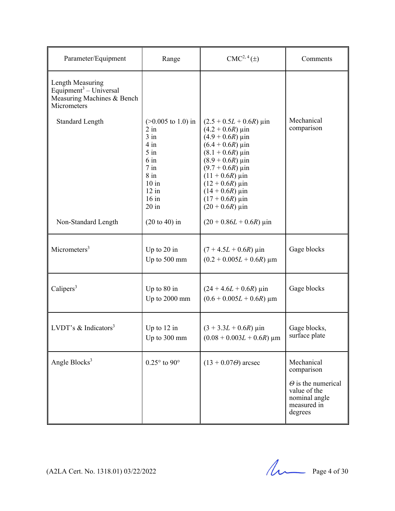| Parameter/Equipment                                                                                 | Range                                                                                                                                                           | $CMC2, 4(\pm)$                                                                                                                                                                                                                                                         | Comments                                                                                                         |
|-----------------------------------------------------------------------------------------------------|-----------------------------------------------------------------------------------------------------------------------------------------------------------------|------------------------------------------------------------------------------------------------------------------------------------------------------------------------------------------------------------------------------------------------------------------------|------------------------------------------------------------------------------------------------------------------|
| Length Measuring<br>Equipment <sup>3</sup> – Universal<br>Measuring Machines & Bench<br>Micrometers |                                                                                                                                                                 |                                                                                                                                                                                                                                                                        |                                                                                                                  |
| <b>Standard Length</b>                                                                              | $(>0.005 \text{ to } 1.0) \text{ in}$<br>$2$ in<br>$3$ in<br>$4$ in<br>$5$ in<br>$6 \text{ in}$<br>$7$ in<br>$8$ in<br>$10$ in<br>$12$ in<br>$16$ in<br>$20$ in | $(2.5 + 0.5L + 0.6R)$ µin<br>$(4.2 + 0.6R)$ µin<br>$(4.9 + 0.6R)$ µin<br>$(6.4 + 0.6R)$ µin<br>$(8.1 + 0.6R)$ µin<br>$(8.9 + 0.6R)$ µin<br>$(9.7 + 0.6R)$ µin<br>$(11 + 0.6R)$ µin<br>$(12 + 0.6R)$ µin<br>$(14 + 0.6R)$ µin<br>$(17 + 0.6R)$ µin<br>$(20 + 0.6R)$ µin | Mechanical<br>comparison                                                                                         |
| Non-Standard Length                                                                                 | $(20 to 40)$ in                                                                                                                                                 | $(20 + 0.86L + 0.6R)$ µin                                                                                                                                                                                                                                              |                                                                                                                  |
| Micrometers <sup>3</sup>                                                                            | Up to 20 in<br>Up to 500 mm                                                                                                                                     | $(7 + 4.5L + 0.6R)$ µin<br>$(0.2 + 0.005L + 0.6R)$ µm                                                                                                                                                                                                                  | Gage blocks                                                                                                      |
| Calipers <sup>3</sup>                                                                               | Up to 80 in<br>Up to 2000 mm                                                                                                                                    | $(24 + 4.6L + 0.6R)$ µin<br>$(0.6 + 0.005L + 0.6R)$ µm                                                                                                                                                                                                                 | Gage blocks                                                                                                      |
| LVDT's $&$ Indicators <sup>3</sup>                                                                  | Up to $12$ in<br>Up to 300 mm                                                                                                                                   | $(3 + 3.3L + 0.6R)$ µin<br>$(0.08 + 0.003L + 0.6R) \mu m$                                                                                                                                                                                                              | Gage blocks,<br>surface plate                                                                                    |
| Angle Blocks <sup>3</sup>                                                                           | $0.25^{\circ}$ to $90^{\circ}$                                                                                                                                  | $(13 + 0.07\Theta)$ arcsec                                                                                                                                                                                                                                             | Mechanical<br>comparison<br>$\Theta$ is the numerical<br>value of the<br>nominal angle<br>measured in<br>degrees |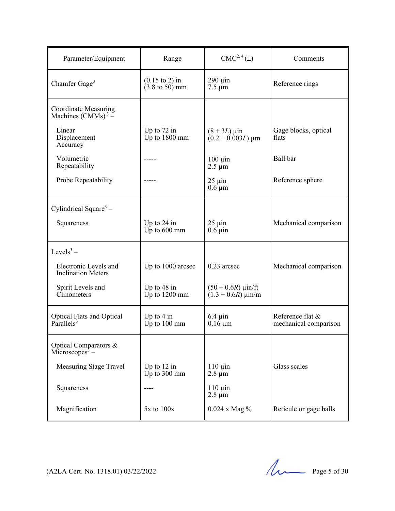| Parameter/Equipment                                        | Range                                                          | $CMC2, 4(\pm)$                                    | Comments                                  |
|------------------------------------------------------------|----------------------------------------------------------------|---------------------------------------------------|-------------------------------------------|
| Chamfer Gage <sup>3</sup>                                  | $(0.15 \text{ to } 2)$ in<br>$(3.8 \text{ to } 50) \text{ mm}$ | $290 \mu$ in<br>$7.5 \mu m$                       | Reference rings                           |
| Coordinate Measuring<br>Machines $(CMMs)^3$ –              |                                                                |                                                   |                                           |
| Linear<br>Displacement<br>Accuracy                         | Up to $72$ in<br>$Up$ to $1800$ mm                             | $(8 + 3L) \,\mu \text{in}$<br>$(0.2 + 0.003L)$ µm | Gage blocks, optical<br>flats             |
| Volumetric<br>Repeatability                                |                                                                | $100 \mu$ in<br>$2.5 \mu m$                       | Ball bar                                  |
| Probe Repeatability                                        |                                                                | $25 \mu$ in<br>$0.6 \mu m$                        | Reference sphere                          |
| Cylindrical Square <sup>3</sup> –                          |                                                                |                                                   |                                           |
| Squareness                                                 | Up to $24$ in<br>$Up$ to $600$ mm                              | $25 \mu$ in<br>$0.6 \mu$ in                       | Mechanical comparison                     |
| Levels <sup>3</sup> –                                      |                                                                |                                                   |                                           |
| Electronic Levels and<br><b>Inclination Meters</b>         | Up to 1000 arcsec                                              | $0.23$ arcsec                                     | Mechanical comparison                     |
| Spirit Levels and<br>Clinometers                           | Up to $48$ in<br>$Up$ to $1200$ mm                             | $(50 + 0.6R)$ µin/ft<br>$(1.3 + 0.6R)$ µm/m       |                                           |
| Optical Flats and Optical<br>Parallels <sup>3</sup>        | Up to $4$ in<br>$Up$ to $100$ mm                               | $6.4 \,\mathrm{\mu}$ in<br>$0.16 \mu m$           | Reference flat &<br>mechanical comparison |
| Optical Comparators &<br>$\overline{\text{Microsoft}}^3$ – |                                                                |                                                   |                                           |
| Measuring Stage Travel                                     | Up to $12$ in<br>Up to 300 mm                                  | $110 \mu$ in<br>$2.8 \mu m$                       | Glass scales                              |
| Squareness                                                 |                                                                | $110 \mu$ in<br>$2.8 \mu m$                       |                                           |
| Magnification                                              | $5x$ to $100x$                                                 | $0.024$ x Mag $\%$                                | Reticule or gage balls                    |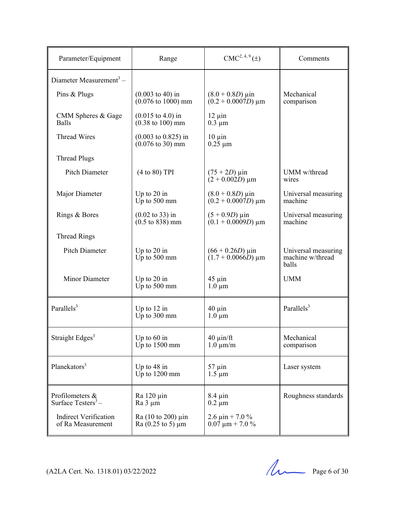| Parameter/Equipment                               | Range                                                                        | $CMC2, 4, 9(\pm)$                                         | Comments                                         |
|---------------------------------------------------|------------------------------------------------------------------------------|-----------------------------------------------------------|--------------------------------------------------|
| Diameter Measurement <sup>3</sup> –               |                                                                              |                                                           |                                                  |
| Pins & Plugs                                      | $(0.003 \text{ to } 40) \text{ in}$<br>$(0.076 \text{ to } 1000) \text{ mm}$ | $(8.0 + 0.8D) \,\mu \text{in}$<br>$(0.2 + 0.0007D) \mu m$ | Mechanical<br>comparison                         |
| CMM Spheres & Gage<br><b>Balls</b>                | $(0.015 \text{ to } 4.0) \text{ in}$<br>$(0.38 \text{ to } 100) \text{ mm}$  | $12 \mu$ in<br>$0.3 \mu m$                                |                                                  |
| <b>Thread Wires</b>                               | $(0.003 \text{ to } 0.825)$ in<br>$(0.076 \text{ to } 30) \text{ mm}$        | $10 \mu$ in<br>$0.25 \mu m$                               |                                                  |
| <b>Thread Plugs</b>                               |                                                                              |                                                           |                                                  |
| <b>Pitch Diameter</b>                             | (4 to 80) TPI                                                                | $(75 + 2D)$ µin<br>$(2 + 0.002D) \mu m$                   | UMM w/thread<br>wires                            |
| Major Diameter                                    | Up to $20$ in<br>$Up$ to 500 mm                                              | $(8.0 + 0.8D) \,\mu \text{in}$<br>$(0.2 + 0.0007D) \mu m$ | Universal measuring<br>machine                   |
| Rings & Bores                                     | $(0.02 \text{ to } 33) \text{ in}$<br>$(0.5 \text{ to } 838) \text{ mm}$     | $(5 + 0.9D)$ µin<br>$(0.1 + 0.0009D)$ µm                  | Universal measuring<br>machine                   |
| <b>Thread Rings</b>                               |                                                                              |                                                           |                                                  |
| Pitch Diameter                                    | Up to $20$ in<br>$Up$ to 500 mm                                              | $(66 + 0.26D) \,\mu \text{in}$<br>$(1.7 + 0.0066D)$ µm    | Universal measuring<br>machine w/thread<br>balls |
| Minor Diameter                                    | Up to $20$ in<br>Up to 500 mm                                                | $45 \mu$ in<br>$1.0 \mu m$                                | <b>UMM</b>                                       |
| Parallels <sup>3</sup>                            | Up to $12$ in<br>$Up$ to 300 mm                                              | $40 \mu$ in<br>$1.0 \mu m$                                | Parallels <sup>3</sup>                           |
| Straight Edges <sup>3</sup>                       | Up to $60$ in<br>Up to $1500$ mm                                             | $40 \mu$ in/ft<br>$1.0 \mu m/m$                           | Mechanical<br>comparison                         |
| Planekators <sup>3</sup>                          | Up to $48$ in<br>$Up$ to $1200$ mm                                           | $57 \mu$ in<br>$1.5 \mu m$                                | Laser system                                     |
| Profilometers &<br>Surface Testers <sup>3</sup> – | $Ra$ 120 $\mu$ in<br>$Ra$ 3 $\mu$ m                                          | $8.4 \mu$ in<br>$0.2 \mu m$                               | Roughness standards                              |
| <b>Indirect Verification</b><br>of Ra Measurement | $Ra(10 to 200) \mu$ in<br>$Ra(0.25 \text{ to } 5) \mu m$                     | 2.6 $\mu$ in + 7.0 %<br>$0.07 \mu m + 7.0 \%$             |                                                  |

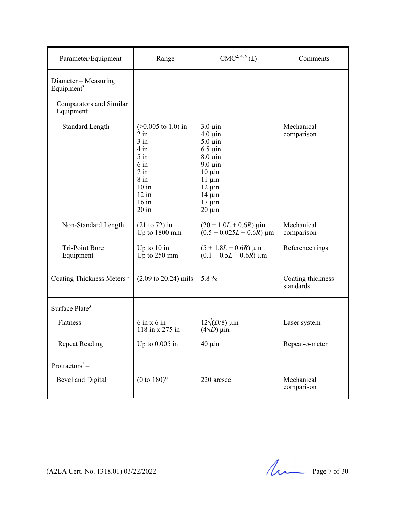| Parameter/Equipment                            | Range                                                                                                                                                  | $CMC2, 4, 9(\pm)$                                                                                                                                                                      | Comments                       |
|------------------------------------------------|--------------------------------------------------------------------------------------------------------------------------------------------------------|----------------------------------------------------------------------------------------------------------------------------------------------------------------------------------------|--------------------------------|
| Diameter - Measuring<br>Equipment <sup>3</sup> |                                                                                                                                                        |                                                                                                                                                                                        |                                |
| Comparators and Similar<br>Equipment           |                                                                                                                                                        |                                                                                                                                                                                        |                                |
| <b>Standard Length</b>                         | $(>0.005$ to 1.0) in<br>$2$ in<br>$3$ in<br>$4 \text{ in}$<br>$5$ in<br>$6 \text{ in}$<br>$7$ in<br>$8$ in<br>$10$ in<br>$12$ in<br>$16$ in<br>$20$ in | $3.0 \mu$ in<br>$4.0 \mu$ in<br>$5.0 \mu$ in<br>$6.5 \mu$ in<br>$8.0 \mu$ in<br>$9.0 \mu$ in<br>$10 \mu$ in<br>$11 \mu$ in<br>$12 \mu$ in<br>$14 \mu$ in<br>$17 \mu$ in<br>$20 \mu$ in | Mechanical<br>comparison       |
| Non-Standard Length                            | $(21 to 72)$ in<br>Up to 1800 mm                                                                                                                       | $(20 + 1.0L + 0.6R)$ µin<br>$(0.5 + 0.025L + 0.6R)$ µm                                                                                                                                 | Mechanical<br>comparison       |
| Tri-Point Bore<br>Equipment                    | Up to $10$ in<br>Up to 250 mm                                                                                                                          | $(5 + 1.8L + 0.6R)$ µin<br>$(0.1 + 0.5L + 0.6R)$ µm                                                                                                                                    | Reference rings                |
| Coating Thickness Meters <sup>3</sup>          | $(2.09 \text{ to } 20.24) \text{ mils}$                                                                                                                | 5.8 %                                                                                                                                                                                  | Coating thickness<br>standards |
| Surface $Place^3-$                             |                                                                                                                                                        |                                                                                                                                                                                        |                                |
| Flatness                                       | $6 \text{ in } x 6 \text{ in}$<br>118 in x 275 in                                                                                                      | $12\sqrt{(D/8)}$ µin<br>$(4\sqrt{D})$ $\mu$ in                                                                                                                                         | Laser system                   |
| <b>Repeat Reading</b>                          | Up to $0.005$ in                                                                                                                                       | $40 \mu$ in                                                                                                                                                                            | Repeat-o-meter                 |
| Protractors <sup>3</sup> –                     |                                                                                                                                                        |                                                                                                                                                                                        |                                |
| Bevel and Digital                              | $(0 \text{ to } 180)$ °                                                                                                                                | 220 arcsec                                                                                                                                                                             | Mechanical<br>comparison       |

(A2LA Cert. No. 1318.01) 03/22/2022 Page 7 of 30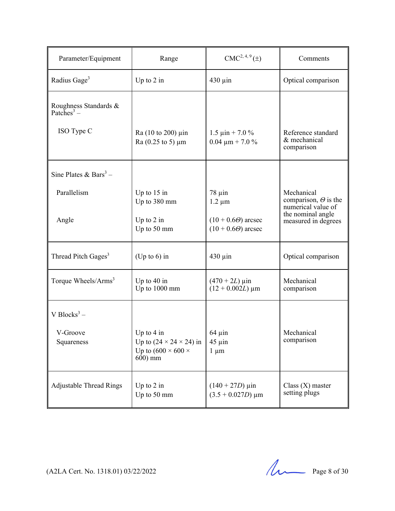| Parameter/Equipment                             | Range                                                                                                     | $CMC2, 4, 9(\pm)$                                            | Comments                                                        |
|-------------------------------------------------|-----------------------------------------------------------------------------------------------------------|--------------------------------------------------------------|-----------------------------------------------------------------|
| Radius Gage <sup>3</sup>                        | Up to $2$ in                                                                                              | $430 \mu$ in                                                 | Optical comparison                                              |
| Roughness Standards &<br>Patches <sup>3</sup> – |                                                                                                           |                                                              |                                                                 |
| ISO Type C                                      | Ra (10 to 200) µin<br>$Ra(0.25 \text{ to } 5) \mu m$                                                      | $1.5 \text{ }\mu\text{in} + 7.0 \%$<br>$0.04 \mu m + 7.0 \%$ | Reference standard<br>& mechanical<br>comparison                |
| Sine Plates & Bars <sup>3</sup> –               |                                                                                                           |                                                              |                                                                 |
| Parallelism                                     | Up to $15$ in<br>Up to 380 mm                                                                             | $78 \mu$ in<br>$1.2 \mu m$                                   | Mechanical<br>comparison, $\Theta$ is the<br>numerical value of |
| Angle                                           | Up to $2$ in<br>Up to 50 mm                                                                               | $(10 + 0.6\Theta)$ arcsec<br>$(10 + 0.6\Theta)$ arcsec       | the nominal angle<br>measured in degrees                        |
| Thread Pitch Gages <sup>3</sup>                 | (Up to $6$ ) in                                                                                           | $430 \mu$ in                                                 | Optical comparison                                              |
| Torque Wheels/Arms <sup>3</sup>                 | Up to $40$ in<br>Up to 1000 mm                                                                            | $(470 + 2L) \,\mu \text{in}$<br>$(12 + 0.002L) \mu m$        | Mechanical<br>comparison                                        |
| V Blocks <sup>3</sup> –                         |                                                                                                           |                                                              |                                                                 |
| V-Groove<br>Squareness                          | Up to $4$ in<br>Up to $(24 \times 24 \times 24)$ in<br>Up to $(600 \times 600 \times$<br>$600 \text{ mm}$ | $64 \text{ } \mu \text{in}$<br>$45 \mu$ in<br>$1 \mu m$      | Mechanical<br>comparison                                        |
| <b>Adjustable Thread Rings</b>                  | Up to $2$ in<br>Up to 50 mm                                                                               | $(140 + 27D) \,\mu \text{in}$<br>$(3.5 + 0.027D) \mu m$      | $Class(X)$ master<br>setting plugs                              |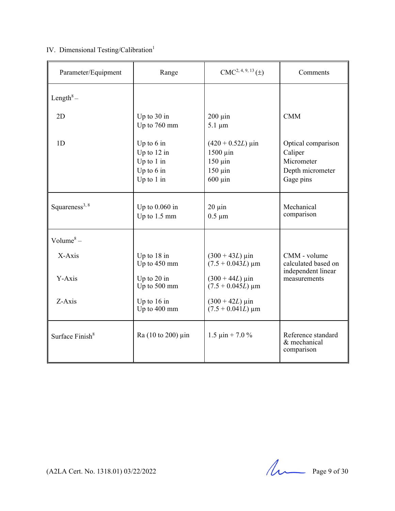### IV. Dimensional Testing/Calibration<sup>1</sup>

| Parameter/Equipment         | Range                                                                       | $CMC2, 4, 9, 13(\pm)$                                                                            | Comments                                                                     |
|-----------------------------|-----------------------------------------------------------------------------|--------------------------------------------------------------------------------------------------|------------------------------------------------------------------------------|
| Length $^8-$                |                                                                             |                                                                                                  |                                                                              |
| 2D                          | Up to 30 in<br>Up to 760 mm                                                 | $200 \mu$ in<br>$5.1 \mu m$                                                                      | <b>CMM</b>                                                                   |
| 1 <sub>D</sub>              | Up to $6$ in<br>Up to $12$ in<br>Up to 1 in<br>Up to $6$ in<br>Up to $1$ in | $(420 + 0.52L) \,\mu \text{in}$<br>$1500 \mu$ in<br>$150 \mu$ in<br>$150 \mu$ in<br>$600 \mu$ in | Optical comparison<br>Caliper<br>Micrometer<br>Depth micrometer<br>Gage pins |
| Squareness <sup>3, 8</sup>  | Up to $0.060$ in<br>Up to $1.5 \text{ mm}$                                  | $20 \mu$ in<br>$0.5 \mu m$                                                                       | Mechanical<br>comparison                                                     |
| Volume <sup>8</sup> –       |                                                                             |                                                                                                  |                                                                              |
| X-Axis                      | Up to 18 in<br>Up to 450 mm                                                 | $(300 + 43L) \,\mu \text{in}$<br>$(7.5 + 0.043L) \,\mathrm{\upmu m}$                             | CMM - volume<br>calculated based on                                          |
| Y-Axis                      | Up to 20 in<br>Up to 500 mm                                                 | $(300 + 44L) \,\mu \text{in}$<br>$(7.5 + 0.045L) \,\mathrm{\upmu m}$                             | independent linear<br>measurements                                           |
| Z-Axis                      | Up to $16$ in<br>Up to 400 mm                                               | $(300 + 42L) \,\mu \text{in}$<br>$(7.5 + 0.041L) \,\mathrm{\mu m}$                               |                                                                              |
| Surface Finish <sup>8</sup> | $Ra(10 to 200) \mu$ in                                                      | $1.5 \,\mathrm{µ}$ in + 7.0 %                                                                    | Reference standard<br>& mechanical<br>comparison                             |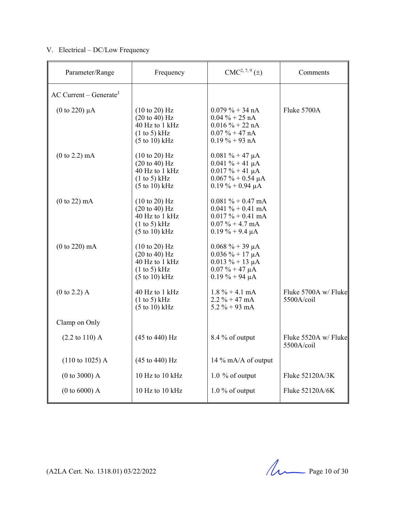#### V. Electrical – DC/Low Frequency

| Parameter/Range                      | Frequency                                                                                                                          | $CMC2, 7, 9(\pm)$                                                                                                           | Comments                           |
|--------------------------------------|------------------------------------------------------------------------------------------------------------------------------------|-----------------------------------------------------------------------------------------------------------------------------|------------------------------------|
| $AC$ Current – Generate <sup>3</sup> |                                                                                                                                    |                                                                                                                             |                                    |
| (0 to 220) $\mu$ A                   | $(10 \text{ to } 20)$ Hz<br>$(20 \text{ to } 40) \text{ Hz}$<br>40 Hz to 1 kHz<br>(1 to 5) kHz<br>$(5 \text{ to } 10) \text{ kHz}$ | $0.079\% + 34 \text{ nA}$<br>$0.04 \% + 25 nA$<br>$0.016 \% + 22 nA$<br>$0.07\% + 47\;nA$<br>$0.19\% + 93\ nA$              | Fluke 5700A                        |
| (0 to 2.2) mA                        | $(10 \text{ to } 20)$ Hz<br>$(20 \text{ to } 40) \text{ Hz}$<br>40 Hz to 1 kHz<br>(1 to 5) kHz<br>$(5 \text{ to } 10) \text{ kHz}$ | $0.081 \% + 47 \mu A$<br>$0.041 \% + 41 \mu A$<br>$0.017 \% + 41 \mu A$<br>$0.067 \% + 0.54 \mu A$<br>$0.19\% + 0.94 \mu A$ |                                    |
| $(0 to 22)$ mA                       | $(10 \text{ to } 20)$ Hz<br>$(20 \text{ to } 40) \text{ Hz}$<br>40 Hz to 1 kHz<br>(1 to 5) kHz<br>$(5 \text{ to } 10) \text{ kHz}$ | $0.081 \% + 0.47$ mA<br>$0.041 \% + 0.41$ mA<br>$0.017 \% + 0.41$ mA<br>$0.07\% + 4.7 \text{ mA}$<br>$0.19\% + 9.4 \mu A$   |                                    |
| (0 to 220) mA                        | $(10 \text{ to } 20)$ Hz<br>$(20 \text{ to } 40) \text{ Hz}$<br>40 Hz to 1 kHz<br>(1 to 5) kHz<br>$(5 \text{ to } 10) \text{ kHz}$ | $0.068 \% + 39 \mu A$<br>$0.036 \% + 17 \mu A$<br>$0.013 \% + 13 \mu A$<br>$0.07 \% + 47 \mu A$<br>$0.19 \% + 94 \mu A$     |                                    |
| $(0 to 2.2)$ A                       | 40 Hz to 1 kHz<br>(1 to 5) kHz<br>$(5 \text{ to } 10) \text{ kHz}$                                                                 | $1.8\% + 4.1 \text{ mA}$<br>$2.2 \% + 47 mA$<br>5.2 $% + 93$ mA                                                             | Fluke 5700A w/ Fluke<br>5500A/coil |
| Clamp on Only                        |                                                                                                                                    |                                                                                                                             |                                    |
| $(2.2 \text{ to } 110)$ A            | $(45 \text{ to } 440) \text{ Hz}$                                                                                                  | 8.4 % of output                                                                                                             | Fluke 5520A w/ Fluke<br>5500A/coil |
| $(110 \text{ to } 1025)$ A           | $(45 \text{ to } 440) \text{ Hz}$                                                                                                  | 14 % mA/A of output                                                                                                         |                                    |
| (0 to 3000) A                        | 10 Hz to 10 kHz                                                                                                                    | 1.0 % of output                                                                                                             | Fluke 52120A/3K                    |
| $(0 to 6000)$ A                      | 10 Hz to 10 kHz                                                                                                                    | $1.0\%$ of output                                                                                                           | Fluke 52120A/6K                    |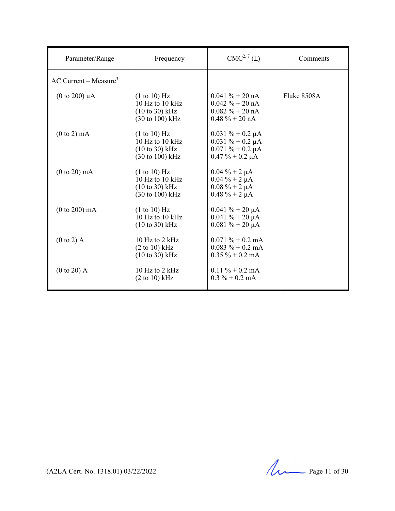| Parameter/Range                     | Frequency                                                                                                    | $CMC2, 7(\pm)$                                                                                              | Comments    |
|-------------------------------------|--------------------------------------------------------------------------------------------------------------|-------------------------------------------------------------------------------------------------------------|-------------|
| $AC$ Current – Measure <sup>3</sup> |                                                                                                              |                                                                                                             |             |
| (0 to 200) $\mu$ A                  | (1 to 10) Hz<br>10 Hz to 10 $kHz$<br>$(10 \text{ to } 30) \text{ kHz}$<br>$(30 \text{ to } 100) \text{ kHz}$ | $0.041 \% + 20 \text{ nA}$<br>$0.042 \% + 20 \text{ nA}$<br>$0.082 \% + 20 \text{ nA}$<br>$0.48 \% + 20 nA$ | Fluke 8508A |
| $(0 \text{ to } 2) \text{ mA}$      | (1 to 10) Hz<br>10 Hz to 10 kHz<br>$(10 \text{ to } 30) \text{ kHz}$<br>$(30 \text{ to } 100) \text{ kHz}$   | $0.031 \% + 0.2 \mu A$<br>$0.031 \% + 0.2 \mu A$<br>$0.071 \% + 0.2 \mu A$<br>$0.47 \% + 0.2 \mu A$         |             |
| $(0 to 20)$ mA                      | (1 to 10) Hz<br>10 Hz to 10 kHz<br>$(10 \text{ to } 30)$ kHz<br>$(30 \text{ to } 100) \text{ kHz}$           | $0.04 \% + 2 \mu A$<br>$0.04 \% + 2 \mu A$<br>$0.08 \% + 2 \mu A$<br>$0.48 \% + 2 \mu A$                    |             |
| $(0 to 200)$ mA                     | (1 to 10) Hz<br>10 Hz to 10 kHz<br>$(10 \text{ to } 30) \text{ kHz}$                                         | $0.041 \% + 20 \mu A$<br>$0.041 \% + 20 \mu A$<br>$0.081 \% + 20 \mu A$                                     |             |
| $(0 \text{ to } 2)$ A               | 10 Hz to $2$ kHz<br>$(2 \text{ to } 10) \text{ kHz}$<br>$(10 \text{ to } 30) \text{ kHz}$                    | $0.071 \% + 0.2$ mA<br>$0.083 \% + 0.2$ mA<br>$0.35 \% + 0.2$ mA                                            |             |
| $(0 to 20)$ A                       | $10$ Hz to 2 kHz<br>$(2 \text{ to } 10)$ kHz                                                                 | $0.11 \% + 0.2$ mA<br>$0.3\% + 0.2 \text{ mA}$                                                              |             |

(A2LA Cert. No. 1318.01) 03/22/2022 Page 11 of 30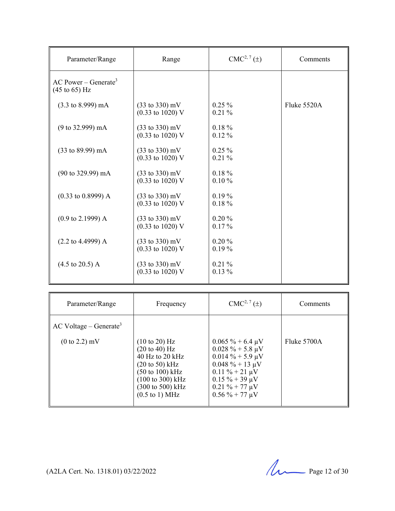| Parameter/Range                                                      | Range                                                                    | $CMC2, 7(\pm)$        | Comments    |
|----------------------------------------------------------------------|--------------------------------------------------------------------------|-----------------------|-------------|
| AC Power – Generate <sup>3</sup><br>$(45 \text{ to } 65) \text{ Hz}$ |                                                                          |                       |             |
| $(3.3 \text{ to } 8.999) \text{ mA}$                                 | $(33 \text{ to } 330) \text{ mV}$<br>$(0.33 \text{ to } 1020) \text{ V}$ | $0.25\%$<br>$0.21\%$  | Fluke 5520A |
| $(9 \text{ to } 32.999) \text{ mA}$                                  | $(33 \text{ to } 330) \text{ mV}$<br>$(0.33 \text{ to } 1020) \text{ V}$ | $0.18 \%$<br>$0.12\%$ |             |
| $(33 \text{ to } 89.99) \text{ mA}$                                  | $(33 \text{ to } 330) \text{ mV}$<br>$(0.33 \text{ to } 1020) \text{ V}$ | $0.25\%$<br>$0.21\%$  |             |
| $(90 \text{ to } 329.99) \text{ mA}$                                 | $(33 \text{ to } 330) \text{ mV}$<br>$(0.33 \text{ to } 1020) \text{ V}$ | $0.18 \%$<br>0.10%    |             |
| $(0.33 \text{ to } 0.8999) \text{ A}$                                | $(33 \text{ to } 330) \text{ mV}$<br>$(0.33 \text{ to } 1020) \text{ V}$ | $0.19\%$<br>$0.18 \%$ |             |
| $(0.9 \text{ to } 2.1999)$ A                                         | $(33 \text{ to } 330) \text{ mV}$<br>$(0.33 \text{ to } 1020) \text{ V}$ | $0.20 \%$<br>$0.17\%$ |             |
| $(2.2 \text{ to } 4.4999) \text{ A}$                                 | $(33 \text{ to } 330) \text{ mV}$<br>$(0.33 \text{ to } 1020) \text{ V}$ | $0.20\%$<br>$0.19\%$  |             |
| $(4.5 \text{ to } 20.5) \text{ A}$                                   | $(33 \text{ to } 330) \text{ mV}$<br>$(0.33 \text{ to } 1020) \text{ V}$ | $0.21\%$<br>$0.13\%$  |             |

| $AC$ Voltage – Generate <sup>3</sup><br>Fluke 5700A<br>$(0 \text{ to } 2.2) \text{ mV}$<br>$(10 \text{ to } 20)$ Hz<br>$0.065 \% + 6.4 \mu V$                                                                                                                                                                                                                   | Parameter/Range | Frequency                        | $CMC2, 7(\pm)$         | Comments |
|-----------------------------------------------------------------------------------------------------------------------------------------------------------------------------------------------------------------------------------------------------------------------------------------------------------------------------------------------------------------|-----------------|----------------------------------|------------------------|----------|
| $40$ Hz to 20 kHz<br>$0.014\% + 5.9 \mu V$<br>$0.048 \% + 13 \mu V$<br>$(20 \text{ to } 50) \text{ kHz}$<br>$(50 \text{ to } 100) \text{ kHz}$<br>$0.11 \% + 21 \mu V$<br>$(100 \text{ to } 300) \text{ kHz}$<br>$0.15\% + 39 \mu V$<br>$(300 \text{ to } 500) \text{ kHz}$<br>$0.21 \% + 77 \mu V$<br>$0.56\% + 77 \mu V$<br>$(0.5 \text{ to } 1) \text{ MHz}$ |                 | $(20 \text{ to } 40) \text{ Hz}$ | $0.028 \% + 5.8 \mu V$ |          |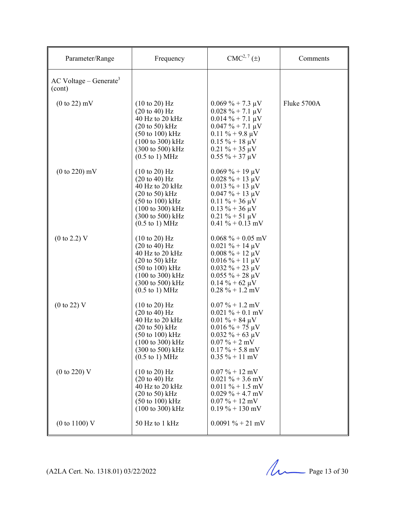| Parameter/Range                                | Frequency                                                                                                                                                                                                                                                             | $CMC2, 7(\pm)$                                                                                                                                                                                       | Comments    |
|------------------------------------------------|-----------------------------------------------------------------------------------------------------------------------------------------------------------------------------------------------------------------------------------------------------------------------|------------------------------------------------------------------------------------------------------------------------------------------------------------------------------------------------------|-------------|
| $AC$ Voltage – Generate <sup>3</sup><br>(cont) |                                                                                                                                                                                                                                                                       |                                                                                                                                                                                                      |             |
| $(0 \text{ to } 22)$ mV                        | $(10 \text{ to } 20)$ Hz<br>$(20 \text{ to } 40) \text{ Hz}$<br>40 Hz to 20 kHz<br>$(20 \text{ to } 50)$ kHz<br>$(50 \text{ to } 100) \text{ kHz}$<br>(100 to 300) kHz<br>$(300 \text{ to } 500) \text{ kHz}$<br>$(0.5 \text{ to } 1) \text{ MHz}$                    | $0.069\% + 7.3 \mu V$<br>$0.028 \% + 7.1 \mu V$<br>$0.014 \% + 7.1 \mu V$<br>$0.047 \% + 7.1 \mu V$<br>$0.11 \% + 9.8 \mu V$<br>$0.15 \% + 18 \mu V$<br>$0.21 \% + 35 \mu V$<br>$0.55 \% + 37 \mu V$ | Fluke 5700A |
| $(0 to 220)$ mV                                | $(10 \text{ to } 20)$ Hz<br>$(20 \text{ to } 40) \text{ Hz}$<br>40 Hz to 20 kHz<br>$(20 \text{ to } 50)$ kHz<br>$(50 \text{ to } 100) \text{ kHz}$<br>$(100 \text{ to } 300) \text{ kHz}$<br>(300 to 500) kHz<br>$(0.5 \text{ to } 1) \text{ MHz}$                    | $0.069\% + 19 \mu V$<br>$0.028 \% + 13 \mu V$<br>$0.013 \% + 13 \mu V$<br>$0.047 \% + 13 \mu V$<br>$0.11 \% + 36 \mu V$<br>$0.13 \% + 36 \mu V$<br>$0.21 \% + 51 \mu V$<br>$0.41\% + 0.13$ mV        |             |
| $(0 \text{ to } 2.2)$ V                        | $(10 \text{ to } 20)$ Hz<br>$(20 \text{ to } 40) \text{ Hz}$<br>40 Hz to 20 kHz<br>$(20 \text{ to } 50) \text{ kHz}$<br>$(50 \text{ to } 100) \text{ kHz}$<br>$(100 \text{ to } 300) \text{ kHz}$<br>(300 to 500) kHz<br>$(0.5 \text{ to } 1) \text{ MHz}$            | $0.068\% + 0.05$ mV<br>$0.021 \% + 14 \mu V$<br>$0.008 \% + 12 \mu V$<br>$0.016 \% + 11 \mu V$<br>$0.032 \% + 23 \mu V$<br>$0.055 \% + 28 \mu V$<br>$0.14 \% + 62 \mu V$<br>$0.28 \% + 1.2$ mV       |             |
| $(0 \text{ to } 22)$ V                         | $(10 \text{ to } 20)$ Hz<br>$(20 \text{ to } 40) \text{ Hz}$<br>40 Hz to 20 kHz<br>$(20 \text{ to } 50)$ kHz<br>$(50 \text{ to } 100) \text{ kHz}$<br>$(100 \text{ to } 300) \text{ kHz}$<br>$(300 \text{ to } 500) \text{ kHz}$<br>$(0.5 \text{ to } 1) \text{ MHz}$ | $0.07\% + 1.2$ mV<br>$0.021 \% + 0.1$ mV<br>$0.01 \% + 84 \mu V$<br>$0.016 \% + 75 \mu V$<br>$0.032 \% + 63 \mu V$<br>$0.07\% + 2$ mV<br>$0.17\% + 5.8$ mV<br>$0.35\% + 11\,\text{mV}$               |             |
| (0 to 220) V                                   | $(10 \text{ to } 20)$ Hz<br>$(20 \text{ to } 40) \text{ Hz}$<br>40 Hz to 20 kHz<br>$(20 \text{ to } 50)$ kHz<br>(50 to 100) kHz<br>$(100 \text{ to } 300) \text{ kHz}$                                                                                                | $0.07\% + 12 \text{ mV}$<br>$0.021 \% + 3.6$ mV<br>$0.011\% + 1.5$ mV<br>$0.029\% + 4.7$ mV<br>$0.07\% + 12 \text{ mV}$<br>$0.19\% + 130$ mV                                                         |             |
| $(0 \text{ to } 1100)$ V                       | 50 Hz to 1 kHz                                                                                                                                                                                                                                                        | $0.0091\% + 21$ mV                                                                                                                                                                                   |             |

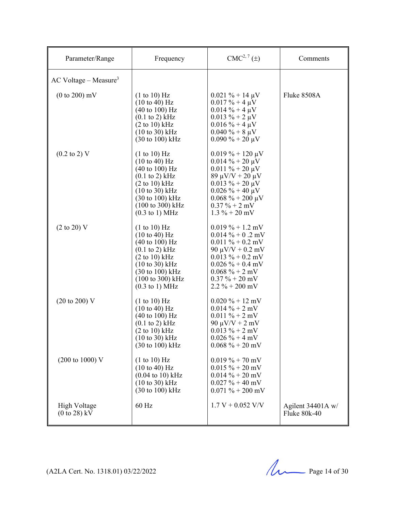| Parameter/Range                                        | Frequency                                                                                                                                                                                                                                                                                                     | $CMC2, 7(\pm)$                                                                                                                                                                                                                       | Comments                          |
|--------------------------------------------------------|---------------------------------------------------------------------------------------------------------------------------------------------------------------------------------------------------------------------------------------------------------------------------------------------------------------|--------------------------------------------------------------------------------------------------------------------------------------------------------------------------------------------------------------------------------------|-----------------------------------|
| $AC$ Voltage – Measure <sup>3</sup>                    |                                                                                                                                                                                                                                                                                                               |                                                                                                                                                                                                                                      |                                   |
| $(0 \text{ to } 200)$ mV                               | (1 to 10) Hz<br>$(10 \text{ to } 40)$ Hz<br>$(40 \text{ to } 100) \text{ Hz}$<br>$(0.1 \text{ to } 2) \text{ kHz}$<br>$(2 \text{ to } 10) \text{ kHz}$<br>$(10 to 30)$ kHz<br>$(30 \text{ to } 100) \text{ kHz}$                                                                                              | $0.021 \% + 14 \mu V$<br>$0.017 \% + 4 \mu V$<br>$0.014 \% + 4 \mu V$<br>$0.013 \% + 2 \mu V$<br>$0.016 \% + 4 \mu V$<br>$0.040 \% + 8 \mu V$<br>$0.090\% + 20 \mu V$                                                                | Fluke 8508A                       |
| $(0.2 \text{ to } 2)$ V                                | (1 to 10) Hz<br>$(10 \text{ to } 40) \text{ Hz}$<br>$(40 \text{ to } 100) \text{ Hz}$<br>$(0.1 \text{ to } 2)$ kHz<br>$(2 \text{ to } 10) \text{ kHz}$<br>$(10 \text{ to } 30) \text{ kHz}$<br>$(30 \text{ to } 100) \text{ kHz}$<br>$(100 \text{ to } 300) \text{ kHz}$<br>$(0.3 \text{ to } 1) \text{ MHz}$ | $0.019\% + 120 \,\mu\text{V}$<br>$0.014 \% + 20 \mu V$<br>$0.011 \% + 20 \mu V$<br>$89 \mu V/V + 20 \mu V$<br>$0.013 \% + 20 \mu V$<br>$0.026 \% + 40 \mu V$<br>$0.068 \% + 200 \mu V$<br>$0.37\% + 2$ mV<br>$1.3\% + 20\,\text{mV}$ |                                   |
| $(2 \text{ to } 20)$ V                                 | (1 to 10) Hz<br>$(10 \text{ to } 40) \text{ Hz}$<br>$(40 \text{ to } 100) \text{ Hz}$<br>$(0.1 \text{ to } 2) \text{ kHz}$<br>$(2 \text{ to } 10) \text{ kHz}$<br>$(10 \text{ to } 30) \text{ kHz}$<br>$(30 \text{ to } 100) \text{ kHz}$<br>(100 to 300) kHz<br>$(0.3 \text{ to } 1) \text{ MHz}$            | $0.019\% + 1.2$ mV<br>$0.014 \% + 0.2$ mV<br>$0.011 \% + 0.2$ mV<br>90 μV/V + 0.2 mV<br>$0.013 \% + 0.2$ mV<br>$0.026 \% + 0.4$ mV<br>$0.068 \% + 2 mV$<br>$0.37\% + 20\,\text{mV}$<br>$2.2\% + 200$ mV                              |                                   |
| $(20 \text{ to } 200)$ V                               | (1 to 10) Hz<br>$(10 \text{ to } 40) \text{ Hz}$<br>$(40 \text{ to } 100) \text{ Hz}$<br>$(0.1 \text{ to } 2) \text{ kHz}$<br>$(2 \text{ to } 10) \text{ kHz}$<br>$(10 \text{ to } 30) \text{ kHz}$<br>$(30 \text{ to } 100) \text{ kHz}$                                                                     | $0.020\% + 12 \text{ mV}$<br>$0.014\% + 2$ mV<br>$0.011 \% + 2 mV$<br>$90 \mu V/V + 2 \mu V$<br>$0.013 \% + 2 mV$<br>$0.026\% + 4 \text{ mV}$<br>$0.068\% + 20$ mV                                                                   |                                   |
| $(200 \text{ to } 1000) \text{ V}$                     | (1 to 10) Hz<br>$(10 \text{ to } 40)$ Hz<br>$(0.04 \text{ to } 10) \text{ kHz}$<br>$(10 \text{ to } 30) \text{ kHz}$<br>$(30 \text{ to } 100) \text{ kHz}$                                                                                                                                                    | $0.019\% + 70$ mV<br>$0.015 \% + 20$ mV<br>$0.014\% + 20$ mV<br>$0.027 \% + 40$ mV<br>$0.071 \% + 200$ mV                                                                                                                            |                                   |
| <b>High Voltage</b><br>$(0 \text{ to } 28) \text{ kV}$ | 60 Hz                                                                                                                                                                                                                                                                                                         | $1.7 V + 0.052 V/V$                                                                                                                                                                                                                  | Agilent 34401A w/<br>Fluke 80k-40 |

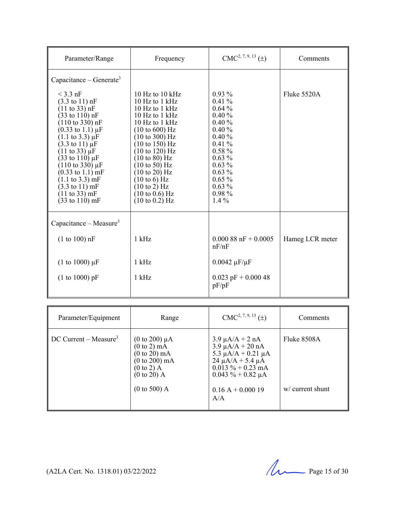| Parameter/Range                                                                                                                                                                                                                                                                                                                                                                                                                                                                                                                                                      | Frequency                                                                                                                                                                                                                                                                                                                                                                                                   | $CMC2, 7, 9, 13 (\pm)$                                                                                                                                                       | Comments        |
|----------------------------------------------------------------------------------------------------------------------------------------------------------------------------------------------------------------------------------------------------------------------------------------------------------------------------------------------------------------------------------------------------------------------------------------------------------------------------------------------------------------------------------------------------------------------|-------------------------------------------------------------------------------------------------------------------------------------------------------------------------------------------------------------------------------------------------------------------------------------------------------------------------------------------------------------------------------------------------------------|------------------------------------------------------------------------------------------------------------------------------------------------------------------------------|-----------------|
| Capacitance – Generate <sup>3</sup>                                                                                                                                                                                                                                                                                                                                                                                                                                                                                                                                  |                                                                                                                                                                                                                                                                                                                                                                                                             |                                                                                                                                                                              |                 |
| $<$ 3.3 nF<br>$(3.3 \text{ to } 11) \text{ nF}$<br>$(11 \text{ to } 33) \text{ nF}$<br>$(33 \text{ to } 110) \text{ nF}$<br>$(110 \text{ to } 330) \text{ nF}$<br>$(0.33 \text{ to } 1.1) \mu F$<br>$(1.1 \text{ to } 3.3) \mu F$<br>$(3.3 \text{ to } 11) \mu F$<br>$(11 \text{ to } 33) \mu F$<br>$(33 \text{ to } 110) \,\mu\text{F}$<br>$(110 \text{ to } 330) \mu F$<br>$(0.33 \text{ to } 1.1) \text{ mF}$<br>$(1.1 \text{ to } 3.3) \text{ mF}$<br>$(3.3 \text{ to } 11) \text{ mF}$<br>$(11 \text{ to } 33) \text{ mF}$<br>$(33 \text{ to } 110) \text{ mF}$ | 10 Hz to 10 $kHz$<br>10 Hz to 1 kHz<br>10 Hz to $1$ kHz<br>10 Hz to $1$ kHz<br>10 $Hz$ to 1 $kHz$<br>(10 to 600) Hz<br>$(10 \text{ to } 300)$ Hz<br>$(10 \text{ to } 150)$ Hz<br>(10 to 120) Hz<br>$(10 \text{ to } 80)$ Hz<br>$(10 \text{ to } 50)$ Hz<br>$(10 \text{ to } 20)$ Hz<br>$(10 \text{ to } 6)$ Hz<br>$(10 \text{ to } 2)$ Hz<br>$(10 \text{ to } 0.6) \text{ Hz}$<br>$(10 \text{ to } 0.2)$ Hz | $0.93\%$<br>0.41%<br>$0.64\%$<br>$0.40\%$<br>0.40%<br>0.40%<br>0.40%<br>$0.41\%$<br>$0.58\%$<br>$0.63\%$<br>$0.63\%$<br>$0.63\%$<br>$0.65\%$<br>$0.63\%$<br>0.98%<br>$1.4\%$ | Fluke 5520A     |
| Capacitance - Measure <sup>3</sup>                                                                                                                                                                                                                                                                                                                                                                                                                                                                                                                                   |                                                                                                                                                                                                                                                                                                                                                                                                             |                                                                                                                                                                              |                 |
| (1 to 100) nF                                                                                                                                                                                                                                                                                                                                                                                                                                                                                                                                                        | $1$ kHz                                                                                                                                                                                                                                                                                                                                                                                                     | $0.00088$ nF + 0.0005<br>nF/nF                                                                                                                                               | Hameg LCR meter |
| $(1 to 1000) \mu F$                                                                                                                                                                                                                                                                                                                                                                                                                                                                                                                                                  | $1$ kHz                                                                                                                                                                                                                                                                                                                                                                                                     | $0.0042 \mu F/\mu F$                                                                                                                                                         |                 |
| (1 to 1000) pF                                                                                                                                                                                                                                                                                                                                                                                                                                                                                                                                                       | $1$ kHz                                                                                                                                                                                                                                                                                                                                                                                                     | $0.023$ pF + 0.000 48<br>pF/pF                                                                                                                                               |                 |

| Parameter/Equipment               | Range                                                                                                                                                         | $CMC2, 7, 9, 13$ ( $\pm$ )                                                                                                                                                                 | Comments                          |
|-----------------------------------|---------------------------------------------------------------------------------------------------------------------------------------------------------------|--------------------------------------------------------------------------------------------------------------------------------------------------------------------------------------------|-----------------------------------|
| DC Current – Measure <sup>3</sup> | (0 to 200) $\mu$ A<br>$(0 \text{ to } 2) \text{ mA}$<br>$(0 \text{ to } 20) \text{ mA}$<br>$(0 to 200)$ mA<br>$(0 to 2)$ A<br>$(0 to 20)$ A<br>$(0 to 500)$ A | $3.9 \mu A/A + 2 nA$<br>$3.9 \mu A/A + 20 nA$<br>5.3 $\mu$ A/A + 0.21 $\mu$ A<br>$24 \mu A/A + 5.4 \mu A$<br>$0.013 \% + 0.23$ mA<br>$0.043 \% + 0.82 \mu A$<br>$0.16 A + 0.000 19$<br>A/A | Fluke 8508A<br>$w/c$ urrent shunt |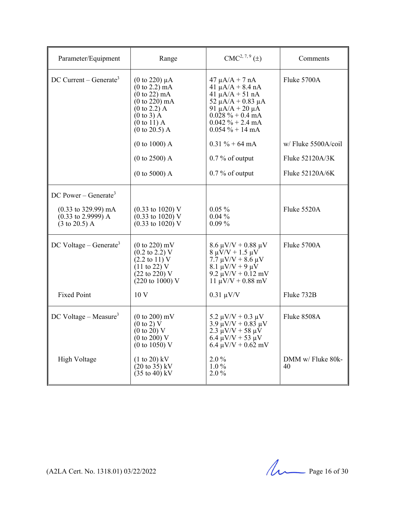| Parameter/Equipment                                                                                 | Range                                                                                                                                                                                                                           | $CMC2, 7, 9(\pm)$                                                                                                                                                                                      | Comments                |
|-----------------------------------------------------------------------------------------------------|---------------------------------------------------------------------------------------------------------------------------------------------------------------------------------------------------------------------------------|--------------------------------------------------------------------------------------------------------------------------------------------------------------------------------------------------------|-------------------------|
| DC Current – Generate <sup>3</sup>                                                                  | $(0 \text{ to } 220) \mu A$<br>$(0 \text{ to } 2.2) \text{ mA}$<br>$(0 \text{ to } 22)$ mA<br>$(0 \text{ to } 220) \text{ mA}$<br>$(0 \text{ to } 2.2)$ A<br>$(0 \text{ to } 3)$ A<br>$(0 to 11)$ A<br>$(0 \text{ to } 20.5)$ A | $47 \mu A/A + 7 nA$<br>$41 \mu A/A + 8.4 \ nA$<br>41 $\mu$ A/A + 51 nA<br>52 $\mu$ A/A + 0.83 $\mu$ A<br>91 $\mu$ A/A + 20 $\mu$ A<br>$0.028 \% + 0.4 mA$<br>$0.042 \% + 2.4 mA$<br>$0.054 \% + 14 mA$ | Fluke 5700A             |
|                                                                                                     | (0 to 1000) A                                                                                                                                                                                                                   | $0.31 \% + 64 mA$                                                                                                                                                                                      | w/Fluke 5500A/coil      |
|                                                                                                     | $(0 to 2500)$ A                                                                                                                                                                                                                 | $0.7\%$ of output                                                                                                                                                                                      | Fluke 52120A/3K         |
|                                                                                                     | (0 to 5000) A                                                                                                                                                                                                                   | $0.7\%$ of output                                                                                                                                                                                      | Fluke 52120A/6K         |
| DC Power – Generate <sup>3</sup>                                                                    |                                                                                                                                                                                                                                 |                                                                                                                                                                                                        |                         |
| $(0.33 \text{ to } 329.99) \text{ mA}$<br>$(0.33 \text{ to } 2.9999)$ A<br>$(3 \text{ to } 20.5)$ A | $(0.33 \text{ to } 1020) \text{ V}$<br>$(0.33 \text{ to } 1020)$ V<br>$(0.33 \text{ to } 1020)$ V                                                                                                                               | $0.05\%$<br>$0.04\%$<br>$0.09\%$                                                                                                                                                                       | Fluke 5520A             |
| DC Voltage – Generate <sup>3</sup>                                                                  | $(0 to 220)$ mV<br>$(0.2 \text{ to } 2.2) \text{ V}$<br>$(2.2 \text{ to } 11) \text{ V}$<br>$(11 \text{ to } 22) \text{ V}$<br>$(22 \text{ to } 220)$ V<br>$(220 \text{ to } 1000)$ V                                           | $8.6 \mu V/V + 0.88 \mu V$<br>$8 \mu \dot{V}/V + 1.5 \mu V$<br>$7.7 \mu V/V + 8.6 \mu V$<br>$8.1 \mu V/V + 9 \mu V$<br>9.2 $\mu$ V/V + 0.12 mV<br>$11 \mu V/V + 0.88 \ mV$                             | Fluke 5700A             |
| <b>Fixed Point</b>                                                                                  | 10 <sub>V</sub>                                                                                                                                                                                                                 | $0.31 \mu V/V$                                                                                                                                                                                         | Fluke 732B              |
| $DC$ Voltage – Measure <sup>3</sup>                                                                 | $(0 to 200)$ mV<br>$(0 \text{ to } 2) \text{ V}$<br>$(0 \text{ to } 20)$ V<br>$(0 \text{ to } 200)$ V<br>$(0 \text{ to } 1050)$ V                                                                                               | 5.2 $\mu$ V/V + 0.3 $\mu$ V<br>$3.9 \mu V/V + 0.83 \mu V$<br>$2.3 \mu V/V + 58 \mu V$<br>$6.4 \mu V/V + 53 \mu V$<br>$6.4 \mu V/V + 0.62 \ mV$                                                         | Fluke 8508A             |
| High Voltage                                                                                        | $(1 to 20)$ kV<br>$(20 \text{ to } 35) \text{ kV}$<br>$(35 \text{ to } 40) \text{ kV}$                                                                                                                                          | $2.0\%$<br>$1.0\%$<br>$2.0\%$                                                                                                                                                                          | DMM w/ Fluke 80k-<br>40 |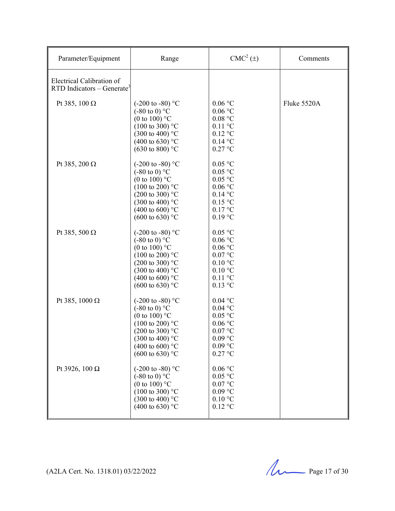| Parameter/Equipment                                                   | Range                                                                                                                                                                                                                                   | $CMC2(\pm)$                                                                                                                              | Comments    |
|-----------------------------------------------------------------------|-----------------------------------------------------------------------------------------------------------------------------------------------------------------------------------------------------------------------------------------|------------------------------------------------------------------------------------------------------------------------------------------|-------------|
| Electrical Calibration of<br>$RTD$ Indicators – Generate <sup>3</sup> |                                                                                                                                                                                                                                         |                                                                                                                                          |             |
| Pt 385, 100 $\Omega$                                                  | $(-200 \text{ to } -80)$ °C<br>$(-80 \text{ to } 0)$ °C<br>(0 to 100) $^{\circ}$ C<br>$(100 \text{ to } 300)$ °C<br>$(300 \text{ to } 400)$ °C<br>(400 to 630) $^{\circ}$ C<br>$(630 \text{ to } 800)$ °C                               | $0.06\,^{\circ}\mathrm{C}$<br>$0.06\,^{\circ}\mathrm{C}$<br>0.08 °C<br>$0.11$ °C<br>$0.12$ °C<br>$0.14$ °C<br>$0.27$ °C                  | Fluke 5520A |
| Pt 385, 200 $\Omega$                                                  | $(-200 \text{ to } -80)$ °C<br>$(-80 \text{ to } 0)$ °C<br>(0 to 100) $^{\circ}$ C<br>$(100 \text{ to } 200)$ °C<br>$(200 \text{ to } 300)$ °C<br>$(300 \text{ to } 400)$ °C<br>(400 to 600) $^{\circ}$ C<br>$(600 \text{ to } 630)$ °C | $0.05\ ^{\circ}\mathrm{C}$<br>0.05 °C<br>0.05 °C<br>0.06 °C<br>$0.14$ °C<br>$0.15$ °C<br>0.17 °C<br>$0.19$ °C                            |             |
| Pt 385, 500 $\Omega$                                                  | $(-200 \text{ to } -80)$ °C<br>$(-80 \text{ to } 0)$ °C<br>(0 to 100) $^{\circ}$ C<br>$(100 \text{ to } 200)$ °C<br>$(200 \text{ to } 300)$ °C<br>$(300 \text{ to } 400)$ °C<br>(400 to 600) $^{\circ}$ C<br>$(600 \text{ to } 630)$ °C | $0.05$ °C<br>0.06 °C<br>$0.06$ °C<br>0.07 °C<br>$0.10\text{ °C}$<br>$0.10\text{ °C}$<br>$0.11$ °C<br>$0.13$ °C                           |             |
| Pt 385, 1000 $\Omega$                                                 | (-200 to -80) $^{\circ}$ C<br>$(-80 \text{ to } 0)$ °C<br>(0 to 100) $^{\circ}$ C<br>$(100 \text{ to } 200)$ °C<br>$(200 \text{ to } 300)$ °C<br>$(300 \text{ to } 400)$ °C<br>(400 to 600) $^{\circ}$ C<br>$(600 \text{ to } 630)$ °C  | $0.04$ °C<br>$0.04$ °C<br>0.05 °C<br>$0.06\,^{\circ}\mathrm{C}$<br>0.07 °C<br>$0.09$ °C<br>$0.09$ °C<br>$0.27$ °C                        |             |
| Pt 3926, 100 Ω                                                        | (-200 to -80) $^{\circ}$ C<br>$(-80 \text{ to } 0)$ °C<br>(0 to 100) $^{\circ}$ C<br>$(100 \text{ to } 300)$ °C<br>$(300 \text{ to } 400)$ °C<br>(400 to 630) $^{\circ}$ C                                                              | $0.06\,^{\circ}\mathrm{C}$<br>0.05 °C<br>$0.07\, \mathrm{^o C}$<br>$0.09$ °C<br>$0.10\ ^{\circ}\mathrm{C}$<br>$0.12\ ^{\circ}\textrm{C}$ |             |

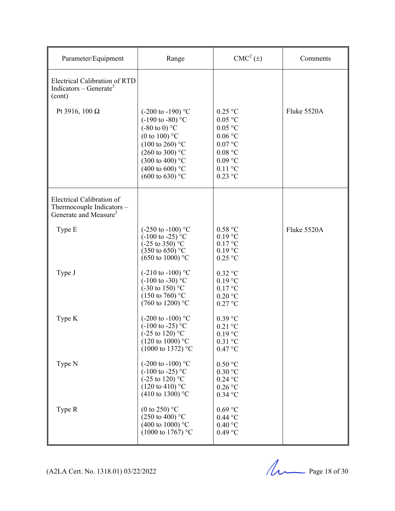| Parameter/Equipment                                                                         | Range                                                                                                                                                                                                                                                                   | $CMC2(\pm)$                                                                                                                      | Comments    |
|---------------------------------------------------------------------------------------------|-------------------------------------------------------------------------------------------------------------------------------------------------------------------------------------------------------------------------------------------------------------------------|----------------------------------------------------------------------------------------------------------------------------------|-------------|
| <b>Electrical Calibration of RTD</b><br>Indicators – Generate <sup>3</sup><br>(cont)        |                                                                                                                                                                                                                                                                         |                                                                                                                                  |             |
| Pt 3916, 100 $\Omega$                                                                       | $(-200 \text{ to } -190)$ °C<br>$(-190 \text{ to } -80)$ °C<br>$(-80 \text{ to } 0)$ °C<br>(0 to 100) $^{\circ}$ C<br>$(100 \text{ to } 260)$ °C<br>$(260 \text{ to } 300)$ °C<br>$(300 \text{ to } 400)$ °C<br>(400 to 600) $^{\circ}$ C<br>$(600 \text{ to } 630)$ °C | $0.25$ °C<br>0.05 °C<br>$0.05$ °C<br>$0.06$ °C<br>$0.07$ °C<br>$0.08\ ^{\circ}\mathrm{C}$<br>$0.09$ °C<br>$0.11$ °C<br>$0.23$ °C | Fluke 5520A |
| Electrical Calibration of<br>Thermocouple Indicators -<br>Generate and Measure <sup>3</sup> |                                                                                                                                                                                                                                                                         |                                                                                                                                  |             |
| Type E                                                                                      | $(-250 \text{ to } -100)$ °C<br>$(-100 \text{ to } -25)$ <sup>o</sup> C<br>$(-25 \text{ to } 350)$ °C<br>$(350 \text{ to } 650)$ °C<br>$(650 \text{ to } 1000)$ °C                                                                                                      | 0.58 °C<br>$0.19$ °C<br>0.17 °C<br>$0.19$ °C<br>$0.25$ °C                                                                        | Fluke 5520A |
| Type J                                                                                      | $(-210 \text{ to } -100)$ °C<br>$(-100 \text{ to } -30)$ °C<br>$(-30 \text{ to } 150)$ °C<br>$(150 \text{ to } 760)$ °C<br>$(760 \text{ to } 1200)$ °C                                                                                                                  | $0.32$ °C<br>$0.19$ °C<br>0.17 °C<br>$0.20$ °C<br>$0.27$ °C                                                                      |             |
| Type K                                                                                      | $(-200 \text{ to } -100)$ °C<br>$(-100 \text{ to } -25)$ °C<br>$(-25 \text{ to } 120)$ °C<br>$(120 \text{ to } 1000)$ °C<br>$(1000 \text{ to } 1372)$ °C                                                                                                                | $0.39$ °C<br>$0.21$ °C<br>$0.19$ °C<br>$0.31$ °C<br>0.47 °C                                                                      |             |
| Type N                                                                                      | $(-200 \text{ to } -100)$ °C<br>$(-100 \text{ to } -25)$ °C<br>$(-25 \text{ to } 120)$ °C<br>$(120 \text{ to } 410)$ °C<br>$(410 \text{ to } 1300)$ °C                                                                                                                  | $0.50\ ^{\circ}\mathrm{C}$<br>$0.30\ ^{\circ}\mathrm{C}$<br>$0.24$ °C<br>$0.26$ °C<br>$0.34$ °C                                  |             |
| Type R                                                                                      | (0 to 250) $^{\circ}$ C<br>$(250 \text{ to } 400)$ °C<br>(400 to 1000) $^{\circ}$ C<br>$(1000 \text{ to } 1767)$ °C                                                                                                                                                     | $0.69$ °C<br>$0.44$ °C<br>0.40 °C<br>$0.49$ °C                                                                                   |             |

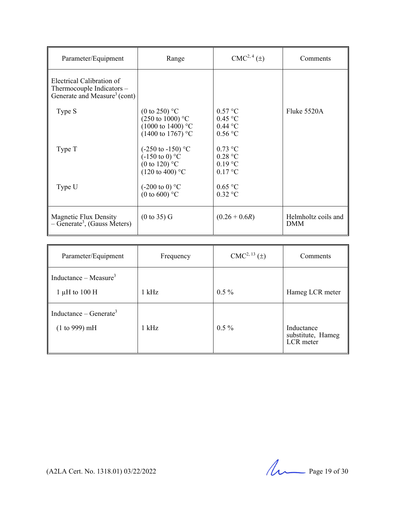| Parameter/Equipment                                                                                | Range                                                                                                                  | CMC <sup>2, 4</sup> (±)                             | Comments                          |
|----------------------------------------------------------------------------------------------------|------------------------------------------------------------------------------------------------------------------------|-----------------------------------------------------|-----------------------------------|
| Electrical Calibration of<br>Thermocouple Indicators -<br>Generate and Measure <sup>3</sup> (cont) |                                                                                                                        |                                                     |                                   |
| Type S                                                                                             | (0 to 250) $^{\circ}$ C<br>$(250 \text{ to } 1000)$ °C<br>$(1000 \text{ to } 1400)$ °C<br>$(1400 \text{ to } 1767)$ °C | 0.57 °C<br>$0.45$ °C<br>$0.44\text{ °C}$<br>0.56 °C | Fluke 5520A                       |
| Type T                                                                                             | $(-250 \text{ to } -150)$ °C<br>$(-150 \text{ to } 0)$ °C<br>(0 to 120) $^{\circ}$ C<br>$(120 \text{ to } 400)$ °C     | $0.73$ °C<br>0.28 °C<br>$0.19$ °C<br>$0.17$ °C      |                                   |
| Type U                                                                                             | $(-200 \text{ to } 0)$ °C<br>(0 to 600) $^{\circ}$ C                                                                   | 0.65 °C<br>$0.32$ °C                                |                                   |
| Magnetic Flux Density<br>$-$ Generate <sup>3</sup> , (Gauss Meters)                                | (0 to 35) G                                                                                                            | $(0.26 + 0.6R)$                                     | Helmholtz coils and<br><b>DMM</b> |

| Parameter/Equipment                                     | Frequency | $CMC2, 13(\pm)$ | Comments                                     |
|---------------------------------------------------------|-----------|-----------------|----------------------------------------------|
| Inductance – Measure <sup>3</sup><br>1 $\mu$ H to 100 H | $1$ kHz   | $0.5\%$         | Hameg LCR meter                              |
|                                                         |           |                 |                                              |
| Inductance – Generate <sup>3</sup><br>(1 to 999) mH     | $1$ kHz   | $0.5\%$         | Inductance<br>substitute, Hameg<br>LCR meter |

(A2LA Cert. No. 1318.01) 03/22/2022 Page 19 of 30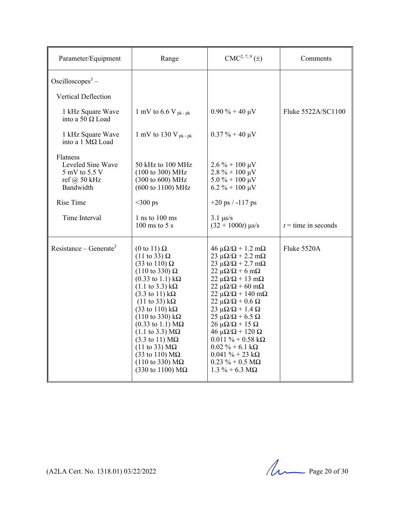| Parameter/Equipment                                                                                         | Range                                                                                                                                                                                                                                                                                                                                                                                                                                                                                                                                                                                                                                                                                           | $CMC2, 7, 9(\pm)$                                                                                                                                                                                                                                                                                                                                                                                                                                                                                                                                                                                                                           | Comments              |
|-------------------------------------------------------------------------------------------------------------|-------------------------------------------------------------------------------------------------------------------------------------------------------------------------------------------------------------------------------------------------------------------------------------------------------------------------------------------------------------------------------------------------------------------------------------------------------------------------------------------------------------------------------------------------------------------------------------------------------------------------------------------------------------------------------------------------|---------------------------------------------------------------------------------------------------------------------------------------------------------------------------------------------------------------------------------------------------------------------------------------------------------------------------------------------------------------------------------------------------------------------------------------------------------------------------------------------------------------------------------------------------------------------------------------------------------------------------------------------|-----------------------|
| Oscilloscopes <sup>3</sup> –<br>Vertical Deflection                                                         |                                                                                                                                                                                                                                                                                                                                                                                                                                                                                                                                                                                                                                                                                                 |                                                                                                                                                                                                                                                                                                                                                                                                                                                                                                                                                                                                                                             |                       |
| 1 kHz Square Wave<br>into a 50 $\Omega$ Load                                                                | 1 mV to 6.6 V pk - pk                                                                                                                                                                                                                                                                                                                                                                                                                                                                                                                                                                                                                                                                           | $0.90\% + 40 \mu V$                                                                                                                                                                                                                                                                                                                                                                                                                                                                                                                                                                                                                         | Fluke 5522A/SC1100    |
| 1 kHz Square Wave<br>into a 1 $M\Omega$ Load                                                                | 1 mV to 130 V $_{\rm pk$ -pk                                                                                                                                                                                                                                                                                                                                                                                                                                                                                                                                                                                                                                                                    | $0.37 \% + 40 \mu V$                                                                                                                                                                                                                                                                                                                                                                                                                                                                                                                                                                                                                        |                       |
| Flatness<br>Leveled Sine Wave<br>5 mV to 5.5 V<br>ref @ $50$ kHz<br>Bandwidth<br>Rise Time<br>Time Interval | 50 kHz to 100 MHz<br>$(100 \text{ to } 300) \text{ MHz}$<br>(300 to 600) MHz<br>(600 to 1100) MHz<br>$<$ 300 ps<br>$1$ ns to $100$ ms                                                                                                                                                                                                                                                                                                                                                                                                                                                                                                                                                           | $2.6\% + 100 \,\mu\text{V}$<br>$2.8\% + 100 \,\mu\text{V}$<br>$5.0\% + 100 \mu V$<br>$6.2 \% + 100 \mu V$<br>$+20$ ps $/ -117$ ps<br>$3.1 \text{ }\mu\text{s/s}$                                                                                                                                                                                                                                                                                                                                                                                                                                                                            |                       |
|                                                                                                             | $100 \text{ ms}$ to 5 s                                                                                                                                                                                                                                                                                                                                                                                                                                                                                                                                                                                                                                                                         | $(32 + 1000t)$ µs/s                                                                                                                                                                                                                                                                                                                                                                                                                                                                                                                                                                                                                         | $t =$ time in seconds |
| Resistance – Generate <sup>3</sup>                                                                          | (0 to 11) $\Omega$<br>$(11 \text{ to } 33) \Omega$<br>$(33 \text{ to } 110) \Omega$<br>$(110 \text{ to } 330) \Omega$<br>$(0.33 \text{ to } 1.1) \text{ k}\Omega$<br>$(1.1 \text{ to } 3.3) \text{ k}\Omega$<br>$(3.3 \text{ to } 11) \text{ k}\Omega$<br>$(11 \text{ to } 33) \text{ k}\Omega$<br>$(33 \text{ to } 110) \text{ k}\Omega$<br>$(110 \text{ to } 330) \text{ k}\Omega$<br>$(0.33 \text{ to } 1.1) \text{ M}\Omega$<br>$(1.1 \text{ to } 3.3) \text{ M}\Omega$<br>$(3.3 \text{ to } 11) \text{ M}\Omega$<br>$(11 \text{ to } 33) \text{ M}\Omega$<br>$(33 \text{ to } 110) \text{ M}\Omega$<br>$(110 \text{ to } 330) \text{ M}\Omega$<br>$(330 \text{ to } 1100) \text{ M}\Omega$ | $46 \mu\Omega/\Omega + 1.2 \text{ mA}$<br>$23 \mu\Omega/\Omega$ + 2.2 m $\Omega$<br>$23 \mu\Omega/\Omega$ + 2.7 m $\Omega$<br>$22 \mu\Omega/\Omega$ + 6 m $\Omega$<br>$22 \mu\Omega/\Omega + 13 \mu\Omega$<br>$22 \mu\Omega/\Omega$ + 60 m $\Omega$<br>$22 \mu\Omega/\Omega + 140 \text{ mA}$<br>$22 \mu\Omega/\Omega + 0.6 \Omega$<br>$23 \mu\Omega/\Omega + 1.4 \Omega$<br>$25 \mu\Omega/\Omega$ + 6.5 $\Omega$<br>$26 \mu\Omega/\Omega + 15 \Omega$<br>$46 \mu\Omega/\Omega + 120 \Omega$<br>$0.011 \% + 0.58 k\Omega$<br>$0.02\% + 6.1 \text{ k}\Omega$<br>$0.041 \% + 23 k\Omega$<br>$0.23 \% + 0.5 M\Omega$<br>$1.3\% + 6.3\ M\Omega$ | Fluke $5520A$         |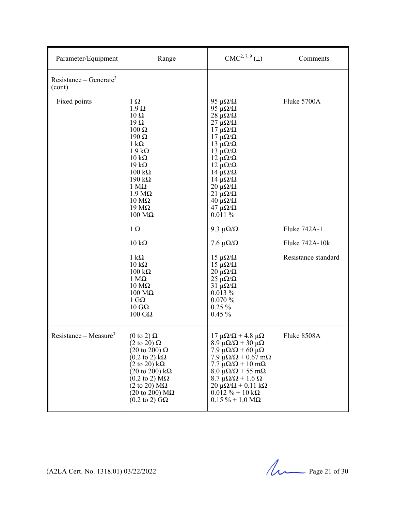| Parameter/Equipment                          | Range                                                                                                                                                                                                                                                                                                                                                                        | $CMC2, 7, 9(\pm)$                                                                                                                                                                                                                                                                                                                                                                                            | Comments            |
|----------------------------------------------|------------------------------------------------------------------------------------------------------------------------------------------------------------------------------------------------------------------------------------------------------------------------------------------------------------------------------------------------------------------------------|--------------------------------------------------------------------------------------------------------------------------------------------------------------------------------------------------------------------------------------------------------------------------------------------------------------------------------------------------------------------------------------------------------------|---------------------|
| Resistance – Generate <sup>3</sup><br>(cont) |                                                                                                                                                                                                                                                                                                                                                                              |                                                                                                                                                                                                                                                                                                                                                                                                              |                     |
| Fixed points                                 | $1 \Omega$<br>$1.9 \Omega$<br>$10 \Omega$<br>$19\Omega$<br>$100 \Omega$<br>$190 \Omega$<br>$1 \text{ k}\Omega$<br>$1.9 k\Omega$<br>$10 \text{ k}\Omega$<br>$19 k\Omega$<br>$100 \text{ k}\Omega$<br>$190 k\Omega$<br>$1 M\Omega$<br>$1.9 M\Omega$<br>$10 \text{ M}\Omega$<br>$19 \text{ M}\Omega$<br>$100 \text{ M}\Omega$                                                   | 95 $\mu\Omega/\Omega$<br>95 $\mu\Omega/\Omega$<br>$28 \mu\Omega/\Omega$<br>$27 \mu\Omega/\Omega$<br>$17 \mu\Omega/\Omega$<br>$17 \mu\Omega/\Omega$<br>$13 \mu\Omega/\Omega$<br>$13 \muΩ/Ω$<br>$12 \mu\Omega/\Omega$<br>$12 \mu\Omega/\Omega$<br>$14 \mu\Omega/\Omega$<br>$14 \mu\Omega/\Omega$<br>$20 \mu\Omega/\Omega$<br>$21 \mu\Omega/\Omega$<br>$40 \mu\Omega/\Omega$<br>$47 \mu\Omega/\Omega$<br>0.011% | Fluke 5700A         |
|                                              | $1 \Omega$                                                                                                                                                                                                                                                                                                                                                                   | 9.3 $\mu\Omega/\Omega$                                                                                                                                                                                                                                                                                                                                                                                       | Fluke 742A-1        |
|                                              | $10 \text{ k}\Omega$                                                                                                                                                                                                                                                                                                                                                         | 7.6 $\mu\Omega/\Omega$                                                                                                                                                                                                                                                                                                                                                                                       | Fluke 742A-10k      |
|                                              | $1 \text{ k}\Omega$<br>$10 \text{ k}\Omega$<br>$100 \text{ k}\Omega$<br>$1 M\Omega$<br>$10 \text{ M}\Omega$<br>$100 \text{ M}\Omega$<br>$1 \text{ G}\Omega$<br>$10 \text{ } G\Omega$<br>$100$ GΩ                                                                                                                                                                             | $15 \mu\Omega/\Omega$<br>$15 \mu\Omega/\Omega$<br>$20 \mu\Omega/\Omega$<br>$25 \mu\Omega/\Omega$<br>$31 \mu\Omega/\Omega$<br>$0.013\%$<br>0.070%<br>$0.25\%$<br>$0.45 \%$                                                                                                                                                                                                                                    | Resistance standard |
| Resistance – Measure <sup>3</sup>            | $(0 \text{ to } 2) \Omega$<br>$(2 \text{ to } 20) \Omega$<br>$(20 \text{ to } 200) \Omega$<br>$(0.2 \text{ to } 2) \text{ k}\Omega$<br>$(2 \text{ to } 20) \text{ k}\Omega$<br>$(20 \text{ to } 200) \text{ k}\Omega$<br>$(0.2 \text{ to } 2) \text{ M}\Omega$<br>$(2 \text{ to } 20) \text{ M}\Omega$<br>$(20 \text{ to } 200) \text{ M}\Omega$<br>$(0.2 \text{ to } 2)$ GQ | $17 \mu\Omega/\Omega$ + 4.8 μΩ<br>$8.9 \mu\Omega/\Omega + 30 \mu\Omega$<br>7.9 μ $\Omega/\Omega$ + 60 μ $\Omega$<br>7.9 $\mu\Omega/\Omega$ + 0.67 m $\Omega$<br>$7.7 \mu\Omega/\Omega + 10 \text{ mA}$<br>$8.0 \mu\Omega/\Omega + 55 \mu\Omega$<br>$8.7 \mu\Omega/\Omega + 1.6 \Omega$<br>$20 \mu\Omega/\Omega$ + 0.11 k $\Omega$<br>$0.012 \% + 10 k\Omega$<br>$0.15 \% + 1.0 M\Omega$                      | Fluke 8508A         |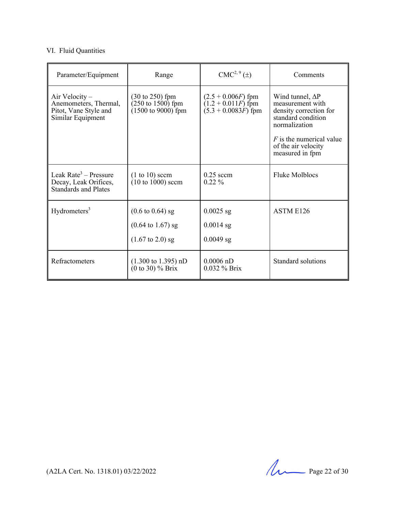#### VI. Fluid Quantities

| Parameter/Equipment                                                                       | Range                                                                                       | $CMC2, 9(\pm)$                                                        | Comments                                                                                                     |
|-------------------------------------------------------------------------------------------|---------------------------------------------------------------------------------------------|-----------------------------------------------------------------------|--------------------------------------------------------------------------------------------------------------|
| Air Velocity –<br>Anemometers, Thermal,<br>Pitot, Vane Style and<br>Similar Equipment     | $(30 \text{ to } 250)$ fpm<br>$(250 \text{ to } 1500)$ fpm<br>$(1500 \text{ to } 9000)$ fpm | $(2.5 + 0.006F)$ fpm<br>$(1.2 + 0.011F)$ fpm<br>$(5.3 + 0.0083F)$ fpm | Wind tunnel, $\Delta P$<br>measurement with<br>density correction for<br>standard condition<br>normalization |
|                                                                                           |                                                                                             |                                                                       | $F$ is the numerical value<br>of the air velocity<br>measured in fpm                                         |
| Leak Rate <sup>3</sup> – Pressure<br>Decay, Leak Orifices,<br><b>Standards and Plates</b> | $(1 to 10)$ sccm<br>$(10 \text{ to } 1000)$ sccm                                            | $0.25$ sccm<br>$0.22\%$                                               | <b>Fluke Molblocs</b>                                                                                        |
| Hydrometers <sup>3</sup>                                                                  | $(0.6 \text{ to } 0.64)$ sg                                                                 | $0.0025$ sg                                                           | ASTM E126                                                                                                    |
|                                                                                           | $(0.64 \text{ to } 1.67) \text{ sg}$                                                        | $0.0014$ sg                                                           |                                                                                                              |
|                                                                                           | $(1.67 \text{ to } 2.0) \text{ sg}$                                                         | $0.0049$ sg                                                           |                                                                                                              |
| <b>Refractometers</b>                                                                     | $(1.300 \text{ to } 1.395) \text{ nD}$<br>$(0 to 30)$ % Brix                                | $0.0006$ nD<br>$0.032\%$ Brix                                         | Standard solutions                                                                                           |

 $(A2LA$  Cert. No. 1318.01) 03/22/2022 Page 22 of 30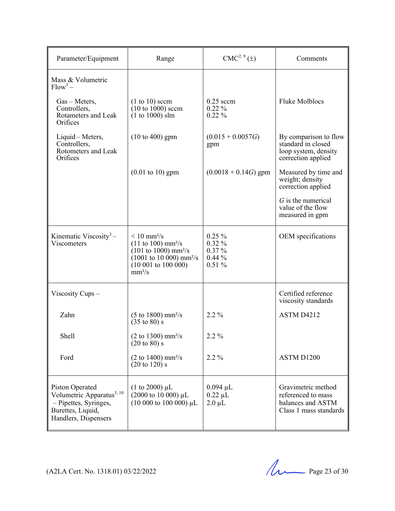| Parameter/Equipment                                                                                                            | Range                                                                                                                                                                                                                                      | $CMC2, 9(\pm)$                                     | Comments                                                                                  |
|--------------------------------------------------------------------------------------------------------------------------------|--------------------------------------------------------------------------------------------------------------------------------------------------------------------------------------------------------------------------------------------|----------------------------------------------------|-------------------------------------------------------------------------------------------|
| Mass & Volumetric<br>$Flow^3$ –                                                                                                |                                                                                                                                                                                                                                            |                                                    |                                                                                           |
| $Gas$ – Meters,<br>Controllers,<br>Rotameters and Leak<br>Orifices                                                             | $(1 to 10)$ sccm<br>$(10 to 1000)$ sccm<br>$(1 to 1000)$ slm                                                                                                                                                                               | $0.25$ sccm<br>$0.22\%$<br>$0.22\%$                | <b>Fluke Molblocs</b>                                                                     |
| Liquid – Meters,<br>Controllers,<br>Rotometers and Leak<br>Orifices                                                            | $(10 \text{ to } 400)$ gpm                                                                                                                                                                                                                 | $(0.015 + 0.0057G)$<br>gpm                         | By comparison to flow<br>standard in closed<br>loop system, density<br>correction applied |
|                                                                                                                                | $(0.01 \text{ to } 10)$ gpm                                                                                                                                                                                                                | $(0.0018 + 0.14G)$ gpm                             | Measured by time and<br>weight; density<br>correction applied                             |
|                                                                                                                                |                                                                                                                                                                                                                                            |                                                    | $G$ is the numerical<br>value of the flow<br>measured in gpm                              |
| Kinematic Viscosity <sup>3</sup> –<br>Viscometers                                                                              | $\leq 10$ mm <sup>2</sup> /s<br>$(11 \text{ to } 100) \text{ mm}^2/\text{s}$<br>$(101 \text{ to } 1000) \text{ mm}^2/\text{s}$<br>$(1001 \text{ to } 10\,000) \text{ mm}^2/\text{s}$<br>$(10001 \text{ to } 100000)$<br>mm <sup>2</sup> /s | $0.25\%$<br>0.32%<br>$0.37\%$<br>0.44%<br>$0.51\%$ | OEM specifications                                                                        |
| Viscosity Cups $-$                                                                                                             |                                                                                                                                                                                                                                            |                                                    | Certified reference<br>viscosity standards                                                |
| Zahn                                                                                                                           | $(5 \text{ to } 1800) \text{ mm}^2/\text{s}$<br>$(35 \text{ to } 80)$ s                                                                                                                                                                    | $2.2\%$                                            | ASTM D4212                                                                                |
| Shell                                                                                                                          | $(2 \text{ to } 1300) \text{ mm}^2/\text{s}$<br>$(20 \text{ to } 80)$ s                                                                                                                                                                    | 2.2 %                                              |                                                                                           |
| Ford                                                                                                                           | $(2 \text{ to } 1400) \text{ mm}^2/\text{s}$<br>$(20 \text{ to } 120)$ s                                                                                                                                                                   | 2.2 %                                              | ASTM D1200                                                                                |
| Piston Operated<br>Volumetric Apparatus <sup>3, 10</sup><br>- Pipettes, Syringes,<br>Burettes, Liquid,<br>Handlers, Dispensers | (1 to 2000) $\mu$ L<br>$(2000 \text{ to } 10000) \mu L$<br>$(10000 to 100000)$ µL                                                                                                                                                          | $0.094 \mu L$<br>$0.22 \mu L$<br>$2.0 \mu L$       | Gravimetric method<br>referenced to mass<br>balances and ASTM<br>Class 1 mass standards   |

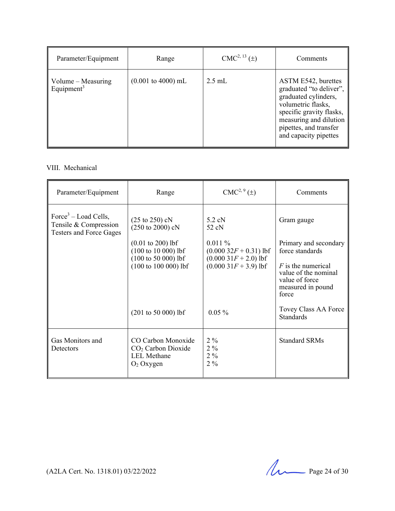| Parameter/Equipment                          | Range                                 | $CMC2, 13(\pm)$ | Comments                                                                                                                                                                                              |
|----------------------------------------------|---------------------------------------|-----------------|-------------------------------------------------------------------------------------------------------------------------------------------------------------------------------------------------------|
| Volume – Measuring<br>Equipment <sup>3</sup> | $(0.001 \text{ to } 4000) \text{ mL}$ | $2.5$ mL        | ASTM E542, burettes<br>graduated "to deliver",<br>graduated cylinders,<br>volumetric flasks,<br>specific gravity flasks,<br>measuring and dilution<br>pipettes, and transfer<br>and capacity pipettes |

#### VIII. Mechanical

| Parameter/Equipment                                                                         | Range                                                                                                                                      | $CMC2, 9(\pm)$                                                                        | Comments                                                                                                                                 |
|---------------------------------------------------------------------------------------------|--------------------------------------------------------------------------------------------------------------------------------------------|---------------------------------------------------------------------------------------|------------------------------------------------------------------------------------------------------------------------------------------|
| Force <sup>3</sup> – Load Cells,<br>Tensile & Compression<br><b>Testers and Force Gages</b> | $(25 \text{ to } 250)$ cN<br>$(250 \text{ to } 2000) \text{ cN}$                                                                           | $5.2$ cN<br>52 cN                                                                     | Gram gauge                                                                                                                               |
|                                                                                             | $(0.01 \text{ to } 200) \text{ lbf}$<br>$(100 to 10000)$ lbf<br>$(100 \text{ to } 50\,000)$ lbf<br>$(100 \text{ to } 100 \text{ 000})$ lbf | 0.011%<br>$(0.00032F + 0.31)$ lbf<br>$(0.00031F + 2.0)$ lbf<br>$(0.00031F + 3.9)$ lbf | Primary and secondary<br>force standards<br>$F$ is the numerical<br>value of the nominal<br>value of force<br>measured in pound<br>force |
|                                                                                             | $(201 to 50000)$ lbf                                                                                                                       | $0.05\%$                                                                              | Tovey Class AA Force<br><b>Standards</b>                                                                                                 |
| Gas Monitors and<br>Detectors                                                               | CO Carbon Monoxide<br>$CO2$ Carbon Dioxide<br><b>LEL</b> Methane<br>O <sub>2</sub> Oxygen                                                  | $2\%$<br>$2\%$<br>$2\%$<br>$2\%$                                                      | <b>Standard SRMs</b>                                                                                                                     |

 $(A2LA$  Cert. No. 1318.01) 03/22/2022 Page 24 of 30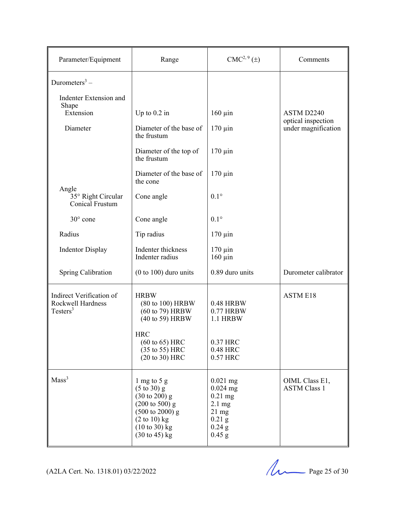| Parameter/Equipment                                                   | Range                                                                                                                                                                                                                   | CMC <sup>2, 9</sup> (±)                                                                                          | Comments                              |
|-----------------------------------------------------------------------|-------------------------------------------------------------------------------------------------------------------------------------------------------------------------------------------------------------------------|------------------------------------------------------------------------------------------------------------------|---------------------------------------|
| Durometers $3 -$                                                      |                                                                                                                                                                                                                         |                                                                                                                  |                                       |
| Indenter Extension and                                                |                                                                                                                                                                                                                         |                                                                                                                  |                                       |
| Shape<br>Extension                                                    | Up to $0.2$ in                                                                                                                                                                                                          | $160 \mu$ in                                                                                                     | ASTM D2240<br>optical inspection      |
| Diameter                                                              | Diameter of the base of<br>the frustum                                                                                                                                                                                  | $170 \mu$ in                                                                                                     | under magnification                   |
|                                                                       | Diameter of the top of<br>the frustum                                                                                                                                                                                   | $170 \mu$ in                                                                                                     |                                       |
|                                                                       | Diameter of the base of<br>the cone                                                                                                                                                                                     | $170 \mu$ in                                                                                                     |                                       |
| Angle<br>35° Right Circular<br>Conical Frustum                        | Cone angle                                                                                                                                                                                                              | $0.1^\circ$                                                                                                      |                                       |
| $30^{\circ}$ cone                                                     | Cone angle                                                                                                                                                                                                              | $0.1^\circ$                                                                                                      |                                       |
| Radius                                                                | Tip radius                                                                                                                                                                                                              | $170 \mu$ in                                                                                                     |                                       |
| <b>Indentor Display</b>                                               | Indenter thickness<br>Indenter radius                                                                                                                                                                                   | $170 \mu$ in<br>$160 \mu$ in                                                                                     |                                       |
| Spring Calibration                                                    | $(0 to 100)$ duro units                                                                                                                                                                                                 | 0.89 duro units                                                                                                  | Durometer calibrator                  |
| Indirect Verification of<br>Rockwell Hardness<br>Testers <sup>3</sup> | <b>HRBW</b><br>(80 to 100) HRBW<br>(60 to 79) HRBW<br>(40 to 59) HRBW<br><b>HRC</b><br>$(60 \text{ to } 65)$ HRC                                                                                                        | <b>0.48 HRBW</b><br>0.77 HRBW<br>1.1 HRBW<br>0.37 HRC                                                            | <b>ASTM E18</b>                       |
|                                                                       | (35 to 55) HRC<br>$(20 to 30)$ HRC                                                                                                                                                                                      | 0.48 HRC<br>0.57 HRC                                                                                             |                                       |
| Mass <sup>3</sup>                                                     | 1 mg to 5 g<br>$(5 \text{ to } 30)$ g<br>$(30 \text{ to } 200)$ g<br>$(200 \text{ to } 500)$ g<br>$(500 \text{ to } 2000)$ g<br>$(2 \text{ to } 10)$ kg<br>$(10 \text{ to } 30)$ kg<br>$(30 \text{ to } 45) \text{ kg}$ | $0.021$ mg<br>$0.024$ mg<br>$0.21$ mg<br>$2.1 \text{ mg}$<br>$21 \text{ mg}$<br>$0.21$ g<br>$0.24$ g<br>$0.45$ g | OIML Class E1,<br><b>ASTM Class 1</b> |

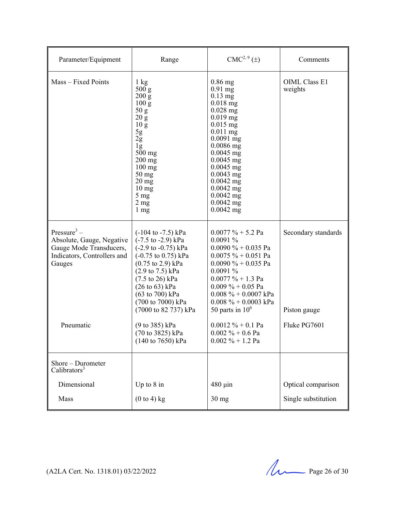| Parameter/Equipment                                                                                                                   | Range                                                                                                                                                                                                                                                                                                                                                                                                                                                   | CMC <sup>2, 9</sup> (±)                                                                                                                                                                                                                                                                                                  | Comments                                            |
|---------------------------------------------------------------------------------------------------------------------------------------|---------------------------------------------------------------------------------------------------------------------------------------------------------------------------------------------------------------------------------------------------------------------------------------------------------------------------------------------------------------------------------------------------------------------------------------------------------|--------------------------------------------------------------------------------------------------------------------------------------------------------------------------------------------------------------------------------------------------------------------------------------------------------------------------|-----------------------------------------------------|
| Mass - Fixed Points                                                                                                                   | 1 kg<br>500 <sub>g</sub><br>200 g<br>$100\,\mathrm{g}$<br>50 g<br>20 g<br>10 <sub>g</sub><br>5g<br>$2\overline{g}$<br>$\lg$<br>$500$ mg<br>200 mg<br>$100 \text{ mg}$<br>$50$ mg<br>$20$ mg<br>10 <sub>mg</sub><br>$5 \text{ mg}$<br>2 <sub>mg</sub><br>$1 \text{ mg}$                                                                                                                                                                                  | $0.86$ mg<br>$0.91$ mg<br>$0.13$ mg<br>$0.018$ mg<br>$0.028$ mg<br>$0.019$ mg<br>$0.015$ mg<br>$0.011$ mg<br>$0.0091$ mg<br>$0.0086$ mg<br>$0.0045$ mg<br>$0.0045$ mg<br>$0.0045$ mg<br>$0.0043$ mg<br>$0.0042$ mg<br>$0.0042$ mg<br>$0.0042$ mg<br>$0.0042$ mg<br>$0.0042$ mg                                           | <b>OIML Class E1</b><br>weights                     |
| Pressure <sup>3</sup> –<br>Absolute, Gauge, Negative<br>Gauge Mode Transducers,<br>Indicators, Controllers and<br>Gauges<br>Pneumatic | $(-104 \text{ to } -7.5) \text{ kPa}$<br>$(-7.5 \text{ to } -2.9) \text{ kPa}$<br>$(-2.9 \text{ to } -0.75) \text{ kPa}$<br>$(-0.75 \text{ to } 0.75) \text{ kPa}$<br>$(0.75 \text{ to } 2.9) \text{ kPa}$<br>$(2.9 \text{ to } 7.5) \text{ kPa}$<br>$(7.5 \text{ to } 26) \text{ kPa}$<br>$(26 \text{ to } 63) \text{ kPa}$<br>(63 to 700) kPa<br>(700 to 7000) kPa<br>(7000 to 82 737) kPa<br>(9 to 385) kPa<br>(70 to 3825) kPa<br>(140 to 7650) kPa | $0.0077 \% + 5.2$ Pa<br>0.0091%<br>$0.0090 \% + 0.035$ Pa<br>$0.0075 \% + 0.051$ Pa<br>$0.0090 \% + 0.035$ Pa<br>0.0091%<br>$0.0077 \% + 1.3 Pa$<br>$0.009\% + 0.05$ Pa<br>$0.008 \% + 0.0007$ kPa<br>$0.008 \% + 0.0003$ kPa<br>50 parts in $106$<br>$0.0012 \% + 0.1 Pa$<br>$0.002 \% + 0.6$ Pa<br>$0.002 \% + 1.2 Pa$ | Secondary standards<br>Piston gauge<br>Fluke PG7601 |
| Shore - Durometer<br>Calibrators <sup>3</sup>                                                                                         |                                                                                                                                                                                                                                                                                                                                                                                                                                                         |                                                                                                                                                                                                                                                                                                                          |                                                     |
| Dimensional                                                                                                                           | Up to $8$ in                                                                                                                                                                                                                                                                                                                                                                                                                                            | $480 \mu$ in                                                                                                                                                                                                                                                                                                             | Optical comparison                                  |
| Mass                                                                                                                                  | $(0 to 4)$ kg                                                                                                                                                                                                                                                                                                                                                                                                                                           | $30$ mg                                                                                                                                                                                                                                                                                                                  | Single substitution                                 |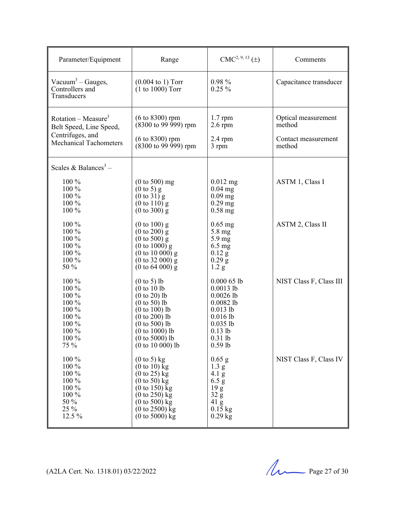| Parameter/Equipment                                             | Range                                              | $CMC2, 9, 13 (\pm)$  | Comments                |
|-----------------------------------------------------------------|----------------------------------------------------|----------------------|-------------------------|
| Vacuum <sup>3</sup> – Gauges,<br>Controllers and<br>Transducers | $(0.004 \text{ to } 1)$ Torr<br>$(1 to 1000)$ Torr | $0.98\%$<br>$0.25\%$ | Capacitance transducer  |
| Rotation – Measure <sup>3</sup>                                 | $(6 \text{ to } 8300)$ rpm                         | $1.7$ rpm            | Optical measurement     |
| Belt Speed, Line Speed,                                         | $(8300 \text{ to } 99 \text{ } 999) \text{ rpm}$   | $2.6$ rpm            | method                  |
| Centrifuges, and                                                | $(6 to 8300)$ rpm                                  | $2.4$ rpm            | Contact measurement     |
| <b>Mechanical Tachometers</b>                                   | $(8300 \text{ to } 99 \text{ } 999)$ rpm           | 3 rpm                | method                  |
| Scales & Balances <sup>3</sup> –                                |                                                    |                      |                         |
| 100 %                                                           | $(0 to 500)$ mg                                    | $0.012$ mg           | ASTM 1, Class I         |
| 100 %                                                           | $(0 \text{ to } 5)$ g                              | $0.04$ mg            |                         |
| 100 %                                                           | $(0 \text{ to } 31)$ g                             | $0.09$ mg            |                         |
| 100 %                                                           | $(0 to 110)$ g                                     | $0.29$ mg            |                         |
| 100 %                                                           | $(0 \text{ to } 300)$ g                            | $0.58$ mg            |                         |
| 100 %                                                           | $(0 \text{ to } 100)$ g                            | $0.65$ mg            | ASTM 2, Class II        |
| 100 %                                                           | $(0 \text{ to } 200) \text{ g}$                    | 5.8 mg               |                         |
| 100 %                                                           | $(0 \text{ to } 500)$ g                            | $5.9 \text{ mg}$     |                         |
| 100 %                                                           | $(0 to 1000)$ g                                    | 6.5 mg               |                         |
| 100 %                                                           | $(0 \text{ to } 10\,000)$ g                        | $0.12$ g             |                         |
| 100 %                                                           | $(0 \text{ to } 32\ 000)$ g                        | $0.29$ g             |                         |
| 50 %                                                            | $(0 \text{ to } 64\,000)$ g                        | 1.2 <sub>g</sub>     |                         |
| 100 %                                                           | $(0 to 5)$ lb                                      | $0.00065$ lb         | NIST Class F, Class III |
| 100 %                                                           | (0 to 10 lb                                        | $0.0013$ lb          |                         |
| 100 %                                                           | $(0 to 20)$ lb                                     | $0.0026$ lb          |                         |
| 100 %                                                           | $(0 to 50)$ lb                                     | $0.0082$ lb          |                         |
| 100 %                                                           | $(0 to 100)$ lb                                    | $0.013$ lb           |                         |
| 100 %                                                           | $(0 to 200)$ lb                                    | $0.016$ lb           |                         |
| 100 %                                                           | $(0 \text{ to } 500)$ lb                           | $0.035$ lb           |                         |
| 100 %                                                           | $(0 to 1000)$ lb                                   | $0.13$ lb            |                         |
| 100 %                                                           | $(0 \text{ to } 5000)$ lb                          | $0.31$ lb            |                         |
| 75 %                                                            | $(0 to 10 000)$ lb                                 | $0.59$ lb            |                         |
| 100 %                                                           | $(0 \text{ to } 5)$ kg                             | $0.65$ g             | NIST Class F, Class IV  |
| 100 %                                                           | $(0 \text{ to } 10)$ kg                            | 1.3 <sub>g</sub>     |                         |
| 100 %                                                           | $(0 \text{ to } 25)$ kg                            | 4.1 g                |                         |
| 100 %                                                           | $(0 \text{ to } 50)$ kg                            | 6.5 g                |                         |
| 100 %                                                           | $(0 \text{ to } 150)$ kg                           | 19 <sub>g</sub>      |                         |
| 100 %                                                           | $(0 to 250)$ kg                                    | 32 g                 |                         |
| 50 %                                                            | $(0 \text{ to } 500)$ kg                           | $41 \text{ g}$       |                         |
| 25 %                                                            | $(0 \text{ to } 2500)$ kg                          | $0.15$ kg            |                         |
| 12.5 %                                                          | $(0 to 5000)$ kg                                   | $0.29$ kg            |                         |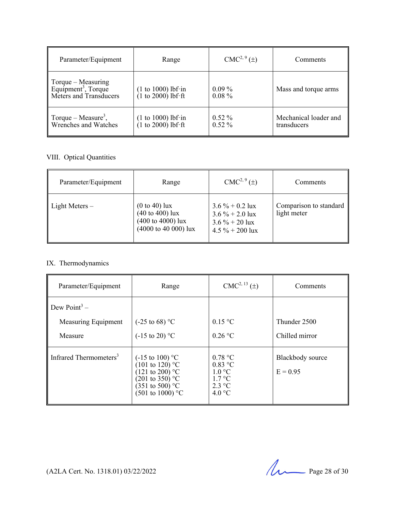| Parameter/Equipment                                                             | Range                                        | $CMC2, 9(\pm)$       | Comments                             |
|---------------------------------------------------------------------------------|----------------------------------------------|----------------------|--------------------------------------|
| Torque – Measuring<br>Equipment <sup>3</sup> , Torque<br>Meters and Transducers | $(1 to 1000)$ lbf·in<br>$(1 to 2000)$ lbf·ft | $0.09\%$<br>$0.08\%$ | Mass and torque arms                 |
| Torque – Measure <sup>3</sup> ,<br>Wrenches and Watches                         | $(1 to 1000)$ lbf·in<br>$(1 to 2000)$ lbf·ft | $0.52\%$<br>$0.52\%$ | Mechanical loader and<br>transducers |

#### VIII. Optical Quantities

| Parameter/Equipment | Range                                                                                                           | $CMC2, 9(\pm)$                                                                   | Comments                              |
|---------------------|-----------------------------------------------------------------------------------------------------------------|----------------------------------------------------------------------------------|---------------------------------------|
| Light Meters $-$    | $(0 \text{ to } 40)$ lux<br>(40 to 400) lux<br>$(400 \text{ to } 4000)$ lux<br>$(4000 \text{ to } 40\,000)$ lux | $3.6\% + 0.2$ lux<br>$3.6\% + 2.0$ lux<br>$3.6\% + 20$ lux<br>$4.5 \% + 200$ lux | Comparison to standard<br>light meter |

#### IX. Thermodynamics

| Parameter/Equipment                | Range                                                                                                                                                                  | $CMC2, 13(\pm)$                                                                                  | Comments                       |
|------------------------------------|------------------------------------------------------------------------------------------------------------------------------------------------------------------------|--------------------------------------------------------------------------------------------------|--------------------------------|
| Dew Point <sup>3</sup> –           |                                                                                                                                                                        |                                                                                                  |                                |
| Measuring Equipment                | $(-25 \text{ to } 68)$ °C                                                                                                                                              | $0.15$ °C                                                                                        | Thunder 2500                   |
| Measure                            | $(-15 \text{ to } 20)$ °C                                                                                                                                              | $0.26$ °C                                                                                        | Chilled mirror                 |
| Infrared Thermometers <sup>3</sup> | $(-15 \text{ to } 100)$ °C<br>$(101 \text{ to } 120)$ °C<br>(121 to 200) °C<br>$(201 \text{ to } 350)$ °C<br>$(351 \text{ to } 500)$ °C<br>$(501 \text{ to } 1000)$ °C | 0.78 °C<br>$0.83$ °C<br>$1.0 \degree C$<br>$1.7 \text{ }^{\circ}C$<br>$2.3 \text{ °C}$<br>4.0 °C | Blackbody source<br>$E = 0.95$ |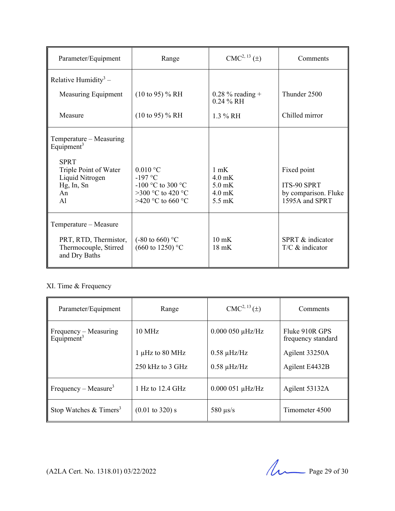| Parameter/Equipment                                                                                                              | Range                                                             | $CMC2, 13(\pm)$                                    | Comments                                           |
|----------------------------------------------------------------------------------------------------------------------------------|-------------------------------------------------------------------|----------------------------------------------------|----------------------------------------------------|
| Relative Humidity <sup>3</sup> –                                                                                                 |                                                                   |                                                    |                                                    |
| Measuring Equipment                                                                                                              | $(10 \text{ to } 95)$ % RH                                        | $0.28\%$ reading +<br>$0.24 \% RH$                 | Thunder 2500                                       |
| Measure                                                                                                                          | $(10 \text{ to } 95)$ % RH                                        | $1.3\%$ RH                                         | Chilled mirror                                     |
| Temperature – Measuring<br>Equipment <sup>3</sup><br><b>SPRT</b><br>Triple Point of Water<br>Liquid Nitrogen<br>Hg, In, Sn<br>An | $0.010$ °C<br>$-197$ °C<br>-100 °C to 300 °C<br>>300 °C to 420 °C | $1 \text{ mK}$<br>$4.0$ mK<br>$5.0$ mK<br>$4.0$ mK | Fixed point<br>ITS-90 SPRT<br>by comparison. Fluke |
| A <sup>1</sup>                                                                                                                   | >420 °C to 660 °C                                                 | $5.5 \text{ mK}$                                   | 1595A and SPRT                                     |
| Temperature - Measure<br>PRT, RTD, Thermistor,<br>Thermocouple, Stirred<br>and Dry Baths                                         | $(-80 \text{ to } 660)$ °C<br>$(660 \text{ to } 1250)$ °C         | $10 \text{ mK}$<br>$18 \text{ mK}$                 | SPRT & indicator<br>$T/C$ & indicator              |

### XI. Time & Frequency

| Parameter/Equipment                             | Range                      | $CMC2, 13(\pm)$      | Comments                             |
|-------------------------------------------------|----------------------------|----------------------|--------------------------------------|
| Frequency – Measuring<br>Equipment <sup>3</sup> | $10 \text{ MHz}$           | $0.000050 \mu$ Hz/Hz | Fluke 910R GPS<br>frequency standard |
|                                                 | 1 µHz to 80 MHz            | $0.58 \mu$ Hz/Hz     | Agilent 33250A                       |
|                                                 | 250 kHz to 3 GHz           | $0.58 \mu$ Hz/Hz     | Agilent E4432B                       |
| Frequency – Measure <sup>3</sup>                | 1 Hz to 12.4 GHz           | $0.000051 \mu$ Hz/Hz | Agilent 53132A                       |
| Stop Watches $& \text{Timers}^3$                | $(0.01 \text{ to } 320)$ s | 580 $\mu$ s/s        | Timometer 4500                       |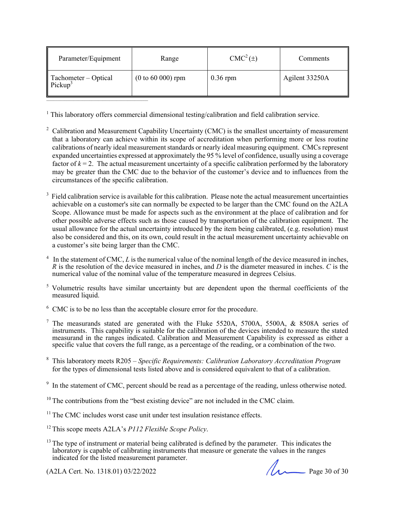| Parameter/Equipment                                     | Range               | $CMC2(\pm)$ | Comments       |
|---------------------------------------------------------|---------------------|-------------|----------------|
| $\parallel$ Tachometer – Optical<br>Pickup <sup>3</sup> | $(0 to 60 000)$ rpm | $0.36$ rpm  | Agilent 33250A |

<sup>1</sup> This laboratory offers commercial dimensional testing/calibration and field calibration service.

- <sup>2</sup> Calibration and Measurement Capability Uncertainty (CMC) is the smallest uncertainty of measurement that a laboratory can achieve within its scope of accreditation when performing more or less routine calibrations of nearly ideal measurement standards or nearly ideal measuring equipment. CMCs represent expanded uncertainties expressed at approximately the 95 % level of confidence, usually using a coverage factor of  $k = 2$ . The actual measurement uncertainty of a specific calibration performed by the laboratory may be greater than the CMC due to the behavior of the customer's device and to influences from the circumstances of the specific calibration.
- $3$  Field calibration service is available for this calibration. Please note the actual measurement uncertainties achievable on a customer's site can normally be expected to be larger than the CMC found on the A2LA Scope. Allowance must be made for aspects such as the environment at the place of calibration and for other possible adverse effects such as those caused by transportation of the calibration equipment. The usual allowance for the actual uncertainty introduced by the item being calibrated, (e.g. resolution) must also be considered and this, on its own, could result in the actual measurement uncertainty achievable on a customer's site being larger than the CMC.
- 4 In the statement of CMC, *L* is the numerical value of the nominal length of the device measured in inches, *R* is the resolution of the device measured in inches, and *D* is the diameter measured in inches. *C* is the numerical value of the nominal value of the temperature measured in degrees Celsius.
- <sup>5</sup> Volumetric results have similar uncertainty but are dependent upon the thermal coefficients of the measured liquid.
- $6$  CMC is to be no less than the acceptable closure error for the procedure.
- <sup>7</sup> The measurands stated are generated with the Fluke 5520A, 5700A, 5500A, & 8508A series of instruments. This capability is suitable for the calibration of the devices intended to measure the stated instruments. measurand in the ranges indicated. Calibration and Measurement Capability is expressed as either a specific value that covers the full range, as a percentage of the reading, or a combination of the two.
- 8 This laboratory meets R205  *Specific Requirements: Calibration Laboratory Accreditation Program*  for the types of dimensional tests listed above and is considered equivalent to that of a calibration.

 $\overline{\phantom{a}}$  , which is the contract of the contract of the contract of the contract of the contract of the contract of the contract of the contract of the contract of the contract of the contract of the contract of the co



 $9\,$  In the statement of CMC, percent should be read as a percentage of the reading, unless otherwise noted.

 $10$  The contributions from the "best existing device" are not included in the CMC claim.

 $11$  The CMC includes worst case unit under test insulation resistance effects.

<sup>12</sup> This scope meets A2LA's *P112 Flexible Scope Policy*.

<sup>&</sup>lt;sup>13</sup> The type of instrument or material being calibrated is defined by the parameter. This indicates the laboratory is capable of calibrating instruments that measure or generate the values in the ranges indicated for the listed measurement parameter.